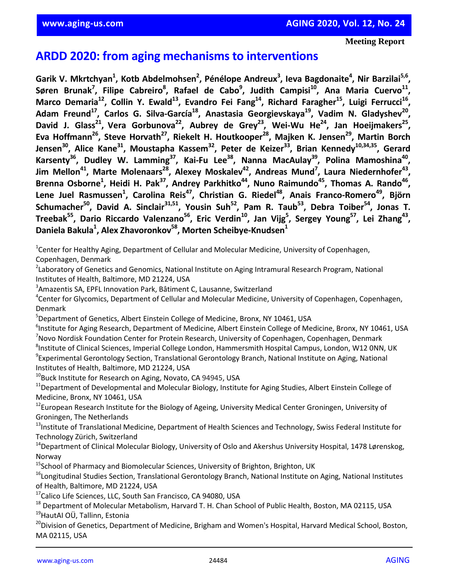**Meeting Report**

# **ARDD 2020: from aging mechanisms to interventions**

Garik V. Mkrtchyan<sup>1</sup>, Kotb Abdelmohsen<sup>2</sup>, Pénélope Andreux<sup>3</sup>, Ieva Bagdonaite<sup>4</sup>, Nir Barzilai<sup>5,6</sup>, Søren Brunak<sup>7</sup>, Filipe Cabreiro<sup>8</sup>, Rafael de Cabo<sup>9</sup>, Judith Campisi<sup>10</sup>, Ana Maria Cuervo<sup>11</sup>, **Marсo Demaria<sup>12</sup>, Collin Y. Ewald<sup>13</sup>, Evandro Fei Fang<sup>14</sup>, Richard Faragher<sup>15</sup>, Luigi Ferrucci<sup>16</sup> , Adam Freund<sup>17</sup>, Carlos G. Silva-García<sup>18</sup>, Anastasia Georgievskaya<sup>19</sup>, Vadim N. Gladyshev<sup>20</sup> , David J. Glass<sup>21</sup> , Vera Gorbunova<sup>22</sup>, Aubrey de Grey<sup>23</sup>, Wei-Wu He<sup>24</sup>, Jan Hoeijmakers<sup>25</sup> , Eva Hoffmann<sup>26</sup>, Steve Horvath<sup>27</sup>, Riekelt H. Houtkooper<sup>28</sup>, Majken K. Jensen<sup>29</sup>, Martin Borch Jensen<sup>30</sup>, Alice Kane<sup>31</sup>, Moustapha Kassem<sup>32</sup>, Peter de Keizer<sup>33</sup>, Brian Kennedy10,34,35, Gerard Karsenty<sup>36</sup>, Dudley W. Lamming<sup>37</sup>, Kai-Fu Lee<sup>38</sup>, Nanna MacAulay<sup>39</sup>, Polina Mamoshina<sup>40</sup> , Jim Mellon<sup>41</sup>, Marte Molenaars<sup>28</sup>, Alexey Moskalev<sup>42</sup>, Andreas Mund<sup>7</sup> , Laura Niedernhofer<sup>43</sup> ,**  Brenna Osborne<sup>1</sup>, Heidi H. Pak<sup>37</sup>, Andrey Parkhitko<sup>44</sup>, Nuno Raimundo<sup>45</sup>, Thomas A. Rando<sup>46</sup>, **Lene Juel Rasmussen<sup>1</sup> , Carolina Reis<sup>47</sup>, Christian G. Riedel<sup>48</sup>, Anais Franco-Romero<sup>49</sup> , Björn Schumacher<sup>50</sup>, David A. Sinclair31,51, Yousin Suh<sup>52</sup>, Pam R. Taub<sup>53</sup>, Debra Toiber<sup>54</sup>, Jonas T. Treebak<sup>55</sup>, Dario Riccardo Valenzano<sup>56</sup>, Eric Verdin<sup>10</sup>, Jan Vijg<sup>5</sup> , Sergey Young<sup>57</sup>, Lei Zhang<sup>43</sup> , Daniela Bakula<sup>1</sup> , Alex Zhavoronkov<sup>58</sup> , Morten Scheibye-Knudsen<sup>1</sup>**

<sup>1</sup>Center for Healthy Aging, Department of Cellular and Molecular Medicine, University of Copenhagen, Copenhagen, Denmark

<sup>2</sup>Laboratory of Genetics and Genomics, National Institute on Aging Intramural Research Program, National Institutes of Health, Baltimore, MD 21224, USA

<sup>3</sup>Amazentis SA, EPFL Innovation Park, Bâtiment C, Lausanne, Switzerland

4 Center for Glycomics, Department of Cellular and Molecular Medicine, University of Copenhagen, Copenhagen, Denmark

<sup>5</sup>Department of Genetics, Albert Einstein College of Medicine, Bronx, NY 10461, USA

<sup>6</sup>Institute for Aging Research, Department of Medicine, Albert Einstein College of Medicine, Bronx, NY 10461, USA <sup>7</sup>Novo Nordisk Foundation Center for Protein Research, University of Copenhagen, Copenhagen, Denmark <sup>8</sup>Institute of Clinical Sciences, Imperial College London, Hammersmith Hospital Campus, London, W12 ONN, UK 9 Experimental Gerontology Section, Translational Gerontology Branch, National Institute on Aging, National Institutes of Health, Baltimore, MD 21224, USA

 $10$ Buck Institute for Research on Aging, Novato, CA 94945, USA

<sup>11</sup>Department of Developmental and Molecular Biology, Institute for Aging Studies, Albert Einstein College of Medicine, Bronx, NY 10461, USA

<sup>12</sup>European Research Institute for the Biology of Ageing, University Medical Center Groningen, University of Groningen, The Netherlands

<sup>13</sup>Institute of Translational Medicine, Department of Health Sciences and Technology, Swiss Federal Institute for Technology Zürich, Switzerland

<sup>14</sup>Department of Clinical Molecular Biology, University of Oslo and Akershus University Hospital, 1478 Lørenskog, Norway

<sup>15</sup>School of Pharmacy and Biomolecular Sciences, University of Brighton, Brighton, UK

<sup>16</sup>Longitudinal Studies Section, Translational Gerontology Branch, National Institute on Aging, National Institutes of Health, Baltimore, MD 21224, USA

<sup>17</sup>Calico Life Sciences, LLC, South San Francisco, CA 94080, USA

<sup>18</sup> Department of Molecular Metabolism, Harvard T. H. Chan School of Public Health, Boston, MA 02115, USA <sup>19</sup>HautAI OÜ, Tallinn, Estonia

<sup>20</sup>Division of Genetics, Department of Medicine, Brigham and Women's Hospital, Harvard Medical School, Boston, MA 02115, USA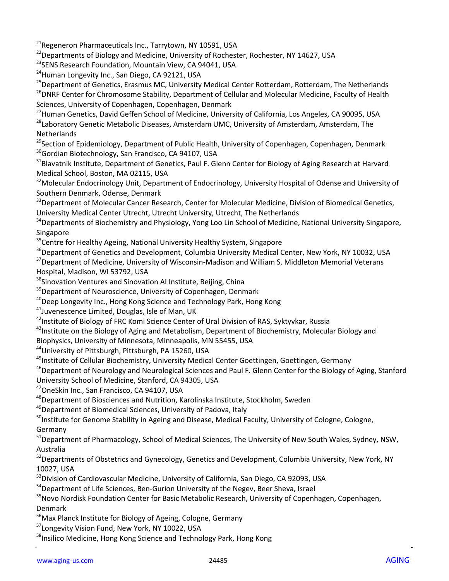<sup>21</sup>Regeneron Pharmaceuticals Inc., Tarrytown, NY 10591, USA

<sup>22</sup> Departments of Biology and Medicine, University of Rochester, Rochester, NY 14627, USA

<sup>23</sup>SENS Research Foundation, Mountain View, CA 94041, USA

<sup>24</sup>Human Longevity Inc., San Diego, CA 92121, USA

<sup>25</sup>Department of Genetics, Erasmus MC, University Medical Center Rotterdam, Rotterdam, The Netherlands <sup>26</sup>DNRF Center for Chromosome Stability, Department of Cellular and Molecular Medicine, Faculty of Health Sciences, University of Copenhagen, Copenhagen, Denmark

<sup>27</sup>Human Genetics, David Geffen School of Medicine, University of California, Los Angeles, CA 90095, USA <sup>28</sup>Laboratory Genetic Metabolic Diseases, Amsterdam UMC, University of Amsterdam, Amsterdam, The **Netherlands** 

<sup>29</sup> Section of Epidemiology, Department of Public Health, University of Copenhagen, Copenhagen, Denmark <sup>30</sup>Gordian Biotechnology, San Francisco, CA 94107, USA

<sup>31</sup>Blavatnik Institute, Department of Genetics, Paul F. Glenn Center for Biology of Aging Research at Harvard Medical School, Boston, MA 02115, USA

<sup>32</sup>Molecular Endocrinology Unit, Department of Endocrinology, University Hospital of Odense and University of Southern Denmark, Odense, Denmark

<sup>33</sup>Department of Molecular Cancer Research, Center for Molecular Medicine, Division of Biomedical Genetics, University Medical Center Utrecht, Utrecht University, Utrecht, The Netherlands

<sup>34</sup>Departments of Biochemistry and Physiology, Yong Loo Lin School of Medicine, National University Singapore, Singapore

<sup>35</sup> Centre for Healthy Ageing, National University Healthy System, Singapore

<sup>36</sup>Department of Genetics and Development, Columbia University Medical Center, New York, NY 10032, USA

<sup>37</sup>Department of Medicine, University of Wisconsin-Madison and William S. Middleton Memorial Veterans Hospital, Madison, WI 53792, USA

<sup>38</sup>Sinovation Ventures and Sinovation AI Institute, Beijing, China

<sup>39</sup> Department of Neuroscience, University of Copenhagen, Denmark

<sup>40</sup>Deep Longevity Inc., Hong Kong Science and Technology Park, Hong Kong

<sup>41</sup>Juvenescence Limited, Douglas, Isle of Man, UK

<sup>42</sup>Institute of Biology of FRC Komi Science Center of Ural Division of RAS, Syktyvkar, Russia

<sup>43</sup>Institute on the Biology of Aging and Metabolism, Department of Biochemistry, Molecular Biology and

Biophysics, University of Minnesota, Minneapolis, MN 55455, USA

<sup>44</sup>University of Pittsburgh, Pittsburgh, PA 15260, USA

<sup>45</sup>Institute of Cellular Biochemistry, University Medical Center Goettingen, Goettingen, Germany

<sup>46</sup>Department of Neurology and Neurological Sciences and Paul F. Glenn Center for the Biology of Aging, Stanford University School of Medicine, Stanford, CA 94305, USA

<sup>47</sup>OneSkin Inc., San Francisco, CA 94107, USA

<sup>48</sup>Department of Biosciences and Nutrition, Karolinska Institute, Stockholm, Sweden

<sup>49</sup>Department of Biomedical Sciences, University of Padova, Italy

<sup>50</sup>Institute for Genome Stability in Ageing and Disease, Medical Faculty, University of Cologne, Cologne, Germany

<sup>51</sup>Department of Pharmacology, School of Medical Sciences, The University of New South Wales, Sydney, NSW, Australia

<sup>52</sup>Departments of Obstetrics and Gynecology, Genetics and Development, Columbia University, New York, NY 10027, USA

<sup>53</sup>Division of Cardiovascular Medicine, University of California, San Diego, CA 92093, USA

<sup>54</sup>Department of Life Sciences, Ben-Gurion University of the Negev, Beer Sheva, Israel

<sup>55</sup>Novo Nordisk Foundation Center for Basic Metabolic Research, University of Copenhagen, Copenhagen, Denmark

<sup>56</sup>Max Planck Institute for Biology of Ageing, Cologne, Germany

<sup>57</sup>Longevity Vision Fund, New York, NY 10022, USA

<sup>58</sup>Insilico Medicine, Hong Kong Science and Technology Park, Hong Kong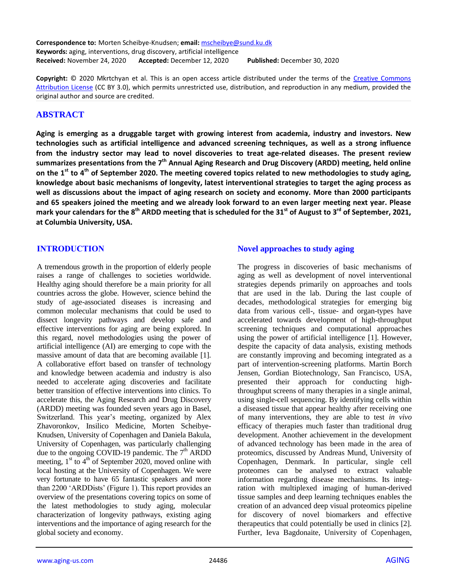**Correspondence to:** Morten Scheibye-Knudsen; **email:** mscheibye@sund.ku.dk **Keywords:** aging, interventions, drug discovery, artificial intelligence **Received:** November 24, 2020 **Accepted:** December 12, 2020 **Published:** December 30, 2020

**Copyright:** © 2020 Mkrtchyan et al. This is an open access article distributed under the terms of the Creative Commons Attribution License (CC BY 3.0), which permits unrestricted use, distribution, and reproduction in any medium, provided the original author and source are credited.

# **ABSTRACT**

**Aging is emerging as a druggable target with growing interest from academia, industry and investors. New technologies such as artificial intelligence and advanced screening techniques, as well as a strong influence from the industry sector may lead to novel discoveries to treat age-related diseases. The present review summarizes presentations from the 7 th Annual Aging Research and Drug Discovery (ARDD) meeting, held online** on the 1<sup>st</sup> to 4<sup>th</sup> of September 2020. The meeting covered topics related to new methodologies to study aging, **knowledge about basic mechanisms of longevity, latest interventional strategies to target the aging process as** well as discussions about the impact of aging research on society and economy. More than 2000 participants and 65 speakers joined the meeting and we already look forward to an even larger meeting next year. Please mark your calendars for the 8<sup>th</sup> ARDD meeting that is scheduled for the 31<sup>st</sup> of August to 3<sup>rd</sup> of September, 2021, **at Columbia University, USA.**

# **INTRODUCTION**

A tremendous growth in the proportion of elderly people raises a range of challenges to societies worldwide. Healthy aging should therefore be a main priority for all countries across the globe. However, science behind the study of age-associated diseases is increasing and common molecular mechanisms that could be used to dissect longevity pathways and develop safe and effective interventions for aging are being explored. In this regard, novel methodologies using the power of artificial intelligence (AI) are emerging to cope with the massive amount of data that are becoming available [1]. A collaborative effort based on transfer of technology and knowledge between academia and industry is also needed to accelerate aging discoveries and facilitate better transition of effective interventions into clinics. To accelerate this, the Aging Research and Drug Discovery (ARDD) meeting was founded seven years ago in Basel, Switzerland. This year's meeting, organized by Alex Zhavoronkov, Insilico Medicine, Morten Scheibye-Knudsen, University of Copenhagen and Daniela Bakula, University of Copenhagen, was particularly challenging due to the ongoing COVID-19 pandemic. The  $7<sup>th</sup>$  ARDD meeting,  $1<sup>st</sup>$  to  $4<sup>th</sup>$  of September 2020, moved online with local hosting at the University of Copenhagen. We were very fortunate to have 65 fantastic speakers and more than 2200 'ARDDists' (Figure 1). This report provides an overview of the presentations covering topics on some of the latest methodologies to study aging, molecular characterization of longevity pathways, existing aging interventions and the importance of aging research for the global society and economy.

#### **Novel approaches to study aging**

The progress in discoveries of basic mechanisms of aging as well as development of novel interventional strategies depends primarily on approaches and tools that are used in the lab. During the last couple of decades, methodological strategies for emerging big data from various cell-, tissue- and organ-types have accelerated towards development of high-throughput screening techniques and computational approaches using the power of artificial intelligence [1]. However, despite the capacity of data analysis, existing methods are constantly improving and becoming integrated as a part of intervention-screening platforms. Martin Borch Jensen, Gordian Biotechnology, San Francisco, USA, presented their approach for conducting highthroughput screens of many therapies in a single animal, using single-cell sequencing. By identifying cells within a diseased tissue that appear healthy after receiving one of many interventions, they are able to test *in vivo*  efficacy of therapies much faster than traditional drug development. Another achievement in the development of advanced technology has been made in the area of proteomics, discussed by Andreas Mund, University of Copenhagen, Denmark. In particular, single cell proteomes can be analysed to extract valuable information regarding disease mechanisms. Its integration with multiplexed imaging of human-derived tissue samples and deep learning techniques enables the creation of an advanced deep visual proteomics pipeline for discovery of novel biomarkers and effective therapeutics that could potentially be used in clinics [2]. Further, Ieva Bagdonaite, University of Copenhagen,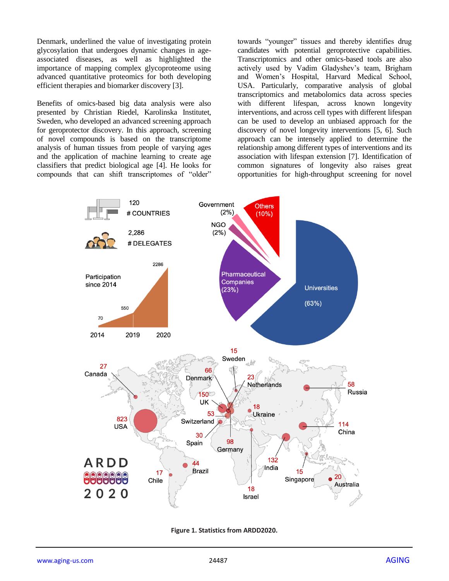Denmark, underlined the value of investigating protein glycosylation that undergoes dynamic changes in ageassociated diseases, as well as highlighted the importance of mapping complex glycoproteome using advanced quantitative proteomics for both developing efficient therapies and biomarker discovery [3].

Benefits of omics-based big data analysis were also presented by Christian Riedel, Karolinska Institutet, Sweden, who developed an advanced screening approach for geroprotector discovery. In this approach, screening of novel compounds is based on the transcriptome analysis of human tissues from people of varying ages and the application of machine learning to create age classifiers that predict biological age [4]. He looks for compounds that can shift transcriptomes of "older"

towards "younger" tissues and thereby identifies drug candidates with potential geroprotective capabilities. Transcriptomics and other omics-based tools are also actively used by Vadim Gladyshev"s team, Brigham and Women"s Hospital, Harvard Medical School, USA. Particularly, comparative analysis of global transcriptomics and metabolomics data across species with different lifespan, across known longevity interventions, and across cell types with different lifespan can be used to develop an unbiased approach for the discovery of novel longevity interventions [5, 6]. Such approach can be intensely applied to determine the relationship among different types of interventions and its association with lifespan extension [7]. Identification of common signatures of longevity also raises great opportunities for high-throughput screening for novel



**Figure 1. Statistics from ARDD2020.**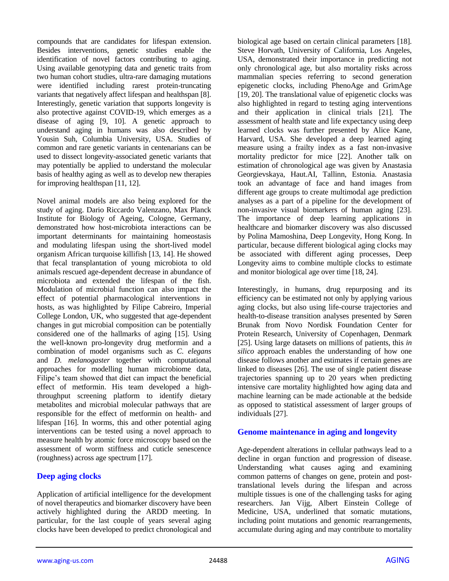compounds that are candidates for lifespan extension. Besides interventions, genetic studies enable the identification of novel factors contributing to aging. Using available genotyping data and genetic traits from two human cohort studies, ultra-rare damaging mutations were identified including rarest protein-truncating variants that negatively affect lifespan and healthspan [8]. Interestingly, genetic variation that supports longevity is also protective against COVID-19, which emerges as a disease of aging [9, 10]. A genetic approach to understand aging in humans was also described by Yousin Suh, Columbia University, USA. Studies of common and rare genetic variants in centenarians can be used to dissect longevity-associated genetic variants that may potentially be applied to understand the molecular basis of healthy aging as well as to develop new therapies for improving healthspan [11, 12].

Novel animal models are also being explored for the study of aging. Dario Riccardo Valenzano, Max Planck Institute for Biology of Ageing, Cologne, Germany, demonstrated how host-microbiota interactions can be important determinants for maintaining homeostasis and modulating lifespan using the short-lived model organism African turquoise killifish [13, 14]. He showed that fecal transplantation of young microbiota to old animals rescued age-dependent decrease in abundance of microbiota and extended the lifespan of the fish. Modulation of microbial function can also impact the effect of potential pharmacological interventions in hosts, as was highlighted by Filipe Cabreiro, Imperial College London, UK, who suggested that age-dependent changes in gut microbial composition can be potentially considered one of the hallmarks of aging [15]. Using the well-known pro-longevity drug metformin and a combination of model organisms such as *C. elegans* and *D. melanogaster* together with computational approaches for modelling human microbiome data, Filipe's team showed that diet can impact the beneficial effect of metformin. His team developed a highthroughput screening platform to identify dietary metabolites and microbial molecular pathways that are responsible for the effect of metformin on health- and lifespan [16]. In worms, this and other potential aging interventions can be tested using a novel approach to measure health by atomic force microscopy based on the assessment of worm stiffness and cuticle senescence (roughness) across age spectrum [17].

# **Deep aging clocks**

Application of artificial intelligence for the development of novel therapeutics and biomarker discovery have been actively highlighted during the ARDD meeting. In particular, for the last couple of years several aging clocks have been developed to predict chronological and

biological age based on certain clinical parameters [18]. Steve Horvath, University of California, Los Angeles, USA, demonstrated their importance in predicting not only chronological age, but also mortality risks across mammalian species referring to second generation epigenetic clocks, including PhenoAge and GrimAge [19, 20]. The translational value of epigenetic clocks was also highlighted in regard to testing aging interventions and their application in clinical trials [21]. The assessment of health state and life expectancy using deep learned clocks was further presented by Alice Kane, Harvard, USA. She developed a deep learned aging measure using a frailty index as a fast non-invasive mortality predictor for mice [22]. Another talk on estimation of chronological age was given by Anastasia Georgievskaya, Haut.AI, Tallinn, Estonia. Anastasia took an advantage of face and hand images from different age groups to create multimodal age prediction analyses as a part of a pipeline for the development of non-invasive visual biomarkers of human aging [23]. The importance of deep learning applications in healthcare and biomarker discovery was also discussed by Polina Mamoshina, Deep Longevity, Hong Kong. In particular, because different biological aging clocks may be associated with different aging processes, Deep Longevity aims to combine multiple clocks to estimate and monitor biological age over time [18, 24].

Interestingly, in humans, drug repurposing and its efficiency can be estimated not only by applying various aging clocks, but also using life-course trajectories and health-to-disease transition analyses presented by Søren Brunak from Novo Nordisk Foundation Center for Protein Research, University of Copenhagen, Denmark [25]. Using large datasets on millions of patients, this *in silico* approach enables the understanding of how one disease follows another and estimates if certain genes are linked to diseases [26]. The use of single patient disease trajectories spanning up to 20 years when predicting intensive care mortality highlighted how aging data and machine learning can be made actionable at the bedside as opposed to statistical assessment of larger groups of individuals [27].

# **Genome maintenance in aging and longevity**

Age-dependent alterations in cellular pathways lead to a decline in organ function and progression of disease. Understanding what causes aging and examining common patterns of changes on gene, protein and posttranslational levels during the lifespan and across multiple tissues is one of the challenging tasks for aging researchers. Jan Vijg, Albert Einstein College of Medicine, USA, underlined that somatic mutations, including point mutations and genomic rearrangements, accumulate during aging and may contribute to mortality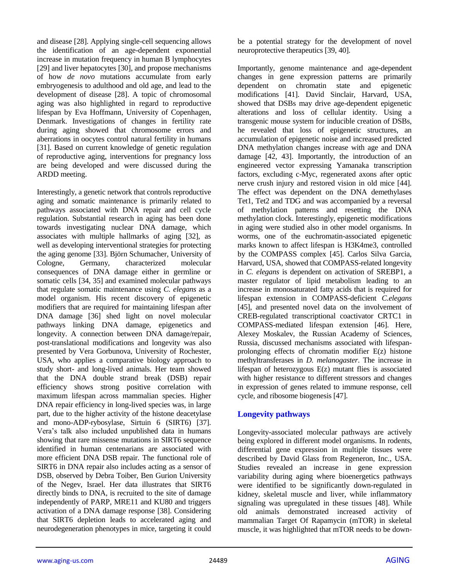and disease [28]. Applying single-cell sequencing allows the identification of an age-dependent exponential increase in mutation frequency in human B lymphocytes [29] and liver hepatocytes [30], and propose mechanisms of how *de novo* mutations accumulate from early embryogenesis to adulthood and old age, and lead to the development of disease [28]. A topic of chromosomal aging was also highlighted in regard to reproductive lifespan by Eva Hoffmann, University of Copenhagen, Denmark. Investigations of changes in fertility rate during aging showed that chromosome errors and aberrations in oocytes control natural fertility in humans [31]. Based on current knowledge of genetic regulation of reproductive aging, interventions for pregnancy loss are being developed and were discussed during the ARDD meeting.

Interestingly, a genetic network that controls reproductive aging and somatic maintenance is primarily related to pathways associated with DNA repair and cell cycle regulation. Substantial research in aging has been done towards investigating nuclear DNA damage, which associates with multiple hallmarks of aging [32], as well as developing interventional strategies for protecting the aging genome [33]. Björn Schumacher, University of Cologne, Germany, characterized molecular consequences of DNA damage either in germline or somatic cells [34, 35] and examined molecular pathways that regulate somatic maintenance using *C. elegans* as a model organism. His recent discovery of epigenetic modifiers that are required for maintaining lifespan after DNA damage [36] shed light on novel molecular pathways linking DNA damage, epigenetics and longevity. A connection between DNA damage/repair, post-translational modifications and longevity was also presented by Vera Gorbunova, University of Rochester, USA, who applies a comparative biology approach to study short- and long-lived animals. Her team showed that the DNA double strand break (DSB) repair efficiency shows strong positive correlation with maximum lifespan across mammalian species. Higher DNA repair efficiency in long-lived species was, in large part, due to the higher activity of the histone deacetylase and mono-ADP-rybosylase, Sirtuin 6 (SIRT6) [37]. Vera"s talk also included unpublished data in humans showing that rare missense mutations in SIRT6 sequence identified in human centenarians are associated with more efficient DNA DSB repair. The functional role of SIRT6 in DNA repair also includes acting as a sensor of DSB, observed by Debra Toiber, Ben Gurion University of the Negev, Israel. Her data illustrates that SIRT6 directly binds to DNA, is recruited to the site of damage independently of PARP, MRE11 and KU80 and triggers activation of a DNA damage response [38]. Considering that SIRT6 depletion leads to accelerated aging and neurodegeneration phenotypes in mice, targeting it could

be a potential strategy for the development of novel neuroprotective therapeutics [39, 40].

Importantly, genome maintenance and age-dependent changes in gene expression patterns are primarily dependent on chromatin state and epigenetic modifications [41]. David Sinclair, Harvard, USA, showed that DSBs may drive age-dependent epigenetic alterations and loss of cellular identity. Using a transgenic mouse system for inducible creation of DSBs, he revealed that loss of epigenetic structures, an accumulation of epigenetic noise and increased predicted DNA methylation changes increase with age and DNA damage [42, 43]. Importantly, the introduction of an engineered vector expressing Yamanaka transcription factors, excluding c-Myc, regenerated axons after optic nerve crush injury and restored vision in old mice [44]. The effect was dependent on the DNA demethylases Tet1, Tet2 and TDG and was accompanied by a reversal of methylation patterns and resetting the DNA methylation clock. Interestingly, epigenetic modifications in aging were studied also in other model organisms. In worms, one of the euchromatin-associated epigenetic marks known to affect lifespan is H3K4me3, controlled by the COMPASS complex [45]. Carlos Silva Garcia, Harvard, USA, showed that COMPASS-related longevity in *C. elegans* is dependent on activation of SREBP1, a master regulator of lipid metabolism leading to an increase in monosaturated fatty acids that is required for lifespan extension in COMPASS*-*deficient *C.elegans* [45], and presented novel data on the involvement of CREB-regulated transcriptional coactivator CRTC1 in COMPASS-mediated lifespan extension [46]. Here, Alexey Moskalev, the Russian Academy of Sciences, Russia, discussed mechanisms associated with lifespanprolonging effects of chromatin modifier E(z) histone methyltransferases in *D. melanogaster*. The increase in lifespan of heterozygous E(z) mutant flies is associated with higher resistance to different stressors and changes in expression of genes related to immune response, cell cycle, and ribosome biogenesis [47].

# **Longevity pathways**

Longevity-associated molecular pathways are actively being explored in different model organisms. In rodents, differential gene expression in multiple tissues were described by David Glass from Regeneron, Inc., USA. Studies revealed an increase in gene expression variability during aging where bioenergetics pathways were identified to be significantly down-regulated in kidney, skeletal muscle and liver, while inflammatory signaling was upregulated in these tissues [48]. While old animals demonstrated increased activity of mammalian Target Of Rapamycin (mTOR) in skeletal muscle, it was highlighted that mTOR needs to be down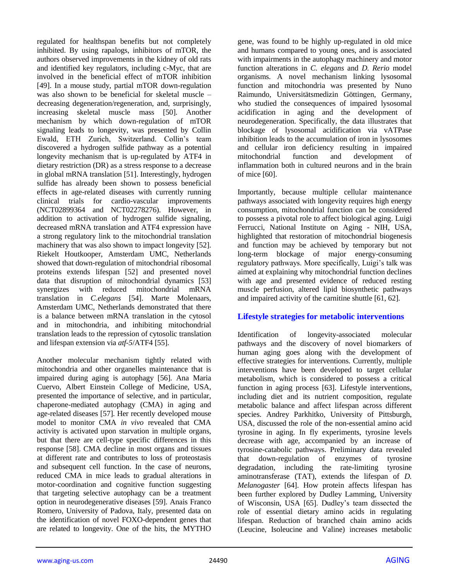regulated for healthspan benefits but not completely inhibited. By using rapalogs, inhibitors of mTOR, the authors observed improvements in the kidney of old rats and identified key regulators, including c-Myc, that are involved in the beneficial effect of mTOR inhibition [49]. In a mouse study, partial mTOR down-regulation was also shown to be beneficial for skeletal muscle – decreasing degeneration/regeneration, and, surprisingly, increasing skeletal muscle mass [50]. Another mechanism by which down-regulation of mTOR signaling leads to longevity, was presented by Collin Ewald, ETH Zurich, Switzerland. Collin"s team discovered a hydrogen sulfide pathway as a potential longevity mechanism that is up-regulated by ATF4 in dietary restriction (DR) as a stress response to a decrease in global mRNA translation [51]. Interestingly, hydrogen sulfide has already been shown to possess beneficial effects in age-related diseases with currently running clinical trials for cardio-vascular improvements (NCT02899364 and NCT02278276). However, in addition to activation of hydrogen sulfide signaling, decreased mRNA translation and ATF4 expression have a strong regulatory link to the mitochondrial translation machinery that was also shown to impact longevity [52]. Riekelt Houtkooper, Amsterdam UMC, Netherlands showed that down-regulation of mitochondrial ribosomal proteins extends lifespan [52] and presented novel data that disruption of mitochondrial dynamics [53] synergizes with reduced mitochondrial mRNA translation in *C.elegans* [54]. Marte Molenaars, Amsterdam UMC, Netherlands demonstrated that there is a balance between mRNA translation in the cytosol and in mitochondria, and inhibiting mitochondrial translation leads to the repression of cytosolic translation and lifespan extension via *atf-5*/ATF4 [55].

Another molecular mechanism tightly related with mitochondria and other organelles maintenance that is impaired during aging is autophagy [56]. Ana Maria Cuervo, Albert Einstein College of Medicine, USA, presented the importance of selective, and in particular, chaperone-mediated autophagy (CMA) in aging and age-related diseases [57]. Her recently developed mouse model to monitor CMA *in vivo* revealed that CMA activity is activated upon starvation in multiple organs, but that there are cell-type specific differences in this response [58]. CMA decline in most organs and tissues at different rate and contributes to loss of proteostasis and subsequent cell function. In the case of neurons, reduced CMA in mice leads to gradual alterations in motor-coordination and cognitive function suggesting that targeting selective autophagy can be a treatment option in neurodegenerative diseases [59]. Anais Franco Romero, University of Padova, Italy, presented data on the identification of novel FOXO-dependent genes that are related to longevity. One of the hits, the MYTHO

gene, was found to be highly up-regulated in old mice and humans compared to young ones, and is associated with impairments in the autophagy machinery and motor function alterations in *C. elegans* and *D. Rerio* model organisms. A novel mechanism linking lysosomal function and mitochondria was presented by Nuno Raimundo, Universitätsmedizin Göttingen, Germany, who studied the consequences of impaired lysosomal acidification in aging and the development of neurodegeneration. Specifically, the data illustrates that blockage of lysosomal acidification via vATPase inhibition leads to the accumulation of iron in lysosomes and cellular iron deficiency resulting in impaired mitochondrial function and development of inflammation both in cultured neurons and in the brain of mice [60].

Importantly, because multiple cellular maintenance pathways associated with longevity requires high energy consumption, mitochondrial function can be considered to possess a pivotal role to affect biological aging. Luigi Ferrucci, National Institute on Aging - NIH, USA, highlighted that restoration of mitochondrial biogenesis and function may be achieved by temporary but not long-term blockage of major energy-consuming regulatory pathways. More specifically, Luigi's talk was aimed at explaining why mitochondrial function declines with age and presented evidence of reduced resting muscle perfusion, altered lipid biosynthetic pathways and impaired activity of the carnitine shuttle [61, 62].

# **Lifestyle strategies for metabolic interventions**

Identification of longevity-associated molecular pathways and the discovery of novel biomarkers of human aging goes along with the development of effective strategies for interventions. Currently, multiple interventions have been developed to target cellular metabolism, which is considered to possess a critical function in aging process [63]. Lifestyle interventions, including diet and its nutrient composition, regulate metabolic balance and affect lifespan across different species. Andrey Parkhitko, University of Pittsburgh, USA, discussed the role of the non-essential amino acid tyrosine in aging. In fly experiments, tyrosine levels decrease with age, accompanied by an increase of tyrosine-catabolic pathways. Preliminary data revealed that down-regulation of enzymes of tyrosine degradation, including the rate-limiting tyrosine aminotransferase (TAT), extends the lifespan of *D. Melanogaster* [64]. How protein affects lifespan has been further explored by Dudley Lamming, University of Wisconsin, USA [65]. Dudley"s team dissected the role of essential dietary amino acids in regulating lifespan. Reduction of branched chain amino acids (Leucine, Isoleucine and Valine) increases metabolic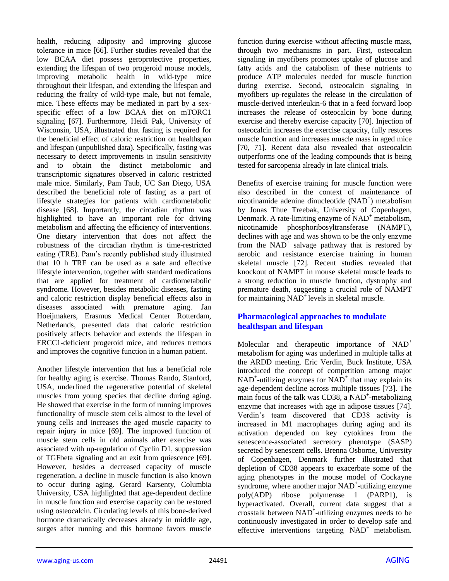health, reducing adiposity and improving glucose tolerance in mice [66]. Further studies revealed that the low BCAA diet possess geroprotective properties, extending the lifespan of two progeroid mouse models, improving metabolic health in wild-type mice throughout their lifespan, and extending the lifespan and reducing the frailty of wild-type male, but not female, mice. These effects may be mediated in part by a sexspecific effect of a low BCAA diet on mTORC1 signaling [67]. Furthermore, Heidi Pak, University of Wisconsin, USA, illustrated that fasting is required for the beneficial effect of caloric restriction on healthspan and lifespan (unpublished data). Specifically, fasting was necessary to detect improvements in insulin sensitivity and to obtain the distinct metabolomic and transcriptomic signatures observed in caloric restricted male mice. Similarly, Pam Taub, UC San Diego, USA described the beneficial role of fasting as a part of lifestyle strategies for patients with cardiometabolic disease [68]. Importantly, the circadian rhythm was highlighted to have an important role for driving metabolism and affecting the efficiency of interventions. One dietary intervention that does not affect the robustness of the circadian rhythm is time-restricted eating (TRE). Pam"s recently published study illustrated that 10 h TRE can be used as a safe and effective lifestyle intervention, together with standard medications that are applied for treatment of cardiometabolic syndrome. However, besides metabolic diseases, fasting and caloric restriction display beneficial effects also in diseases associated with premature aging. Jan Hoeijmakers, Erasmus Medical Center Rotterdam, Netherlands, presented data that caloric restriction positively affects behavior and extends the lifespan in ERCC1-deficient progeroid mice, and reduces tremors and improves the cognitive function in a human patient.

Another lifestyle intervention that has a beneficial role for healthy aging is exercise. Thomas Rando, Stanford, USA, underlined the regenerative potential of skeletal muscles from young species that decline during aging. He showed that exercise in the form of running improves functionality of muscle stem cells almost to the level of young cells and increases the aged muscle capacity to repair injury in mice [69]. The improved function of muscle stem cells in old animals after exercise was associated with up-regulation of Cyclin D1, suppression of TGFbeta signaling and an exit from quiescence [69]. However, besides a decreased capacity of muscle regeneration, a decline in muscle function is also known to occur during aging. Gerard Karsenty, Columbia University, USA highlighted that age-dependent decline in muscle function and exercise capacity can be restored using osteocalcin. Circulating levels of this bone-derived hormone dramatically decreases already in middle age, surges after running and this hormone favors muscle

function during exercise without affecting muscle mass, through two mechanisms in part. First, osteocalcin signaling in myofibers promotes uptake of glucose and fatty acids and the catabolism of these nutrients to produce ATP molecules needed for muscle function during exercise. Second, osteocalcin signaling in myofibers up-regulates the release in the circulation of muscle-derived interleukin-6 that in a feed forward loop increases the release of osteocalcin by bone during exercise and thereby exercise capacity [70]. Injection of osteocalcin increases the exercise capacity, fully restores muscle function and increases muscle mass in aged mice [70, 71]. Recent data also revealed that osteocalcin outperforms one of the leading compounds that is being tested for sarcopenia already in late clinical trials.

Benefits of exercise training for muscle function were also described in the context of maintenance of nicotinamide adenine dinucleotide (NAD<sup>+</sup>) metabolism by Jonas Thue Treebak, University of Copenhagen, Denmark. A rate-limiting enzyme of  $NAD^+$  metabolism, nicotinamide phosphoribosyltransferase (NAMPT), declines with age and was shown to be the only enzyme from the  $NAD^+$  salvage pathway that is restored by aerobic and resistance exercise training in human skeletal muscle [72]. Recent studies revealed that knockout of NAMPT in mouse skeletal muscle leads to a strong reduction in muscle function, dystrophy and premature death, suggesting a crucial role of NAMPT for maintaining  $NAD<sup>+</sup>$  levels in skeletal muscle.

# **Pharmacological approaches to modulate healthspan and lifespan**

Molecular and therapeutic importance of NAD<sup>+</sup> metabolism for aging was underlined in multiple talks at the ARDD meeting. Eric Verdin, Buck Institute, USA introduced the concept of competition among major  $NAD^+$ -utilizing enzymes for  $NAD^+$  that may explain its age-dependent decline across multiple tissues [73]. The main focus of the talk was CD38, a NAD<sup>+</sup>-metabolizing enzyme that increases with age in adipose tissues [74]. Verdin"s team discovered that CD38 activity is increased in M1 macrophages during aging and its activation depended on key cytokines from the senescence-associated secretory phenotype (SASP) secreted by senescent cells. Brenna Osborne, University of Copenhagen, Denmark further illustrated that depletion of CD38 appears to exacerbate some of the aging phenotypes in the mouse model of Cockayne syndrome, where another major  $NAD^+$ -utilizing enzyme poly(ADP) ribose polymerase 1 (PARP1), is hyperactivated. Overall, current data suggest that a crosstalk between NAD<sup>+</sup> -utilizing enzymes needs to be continuously investigated in order to develop safe and effective interventions targeting  $NAD^+$  metabolism.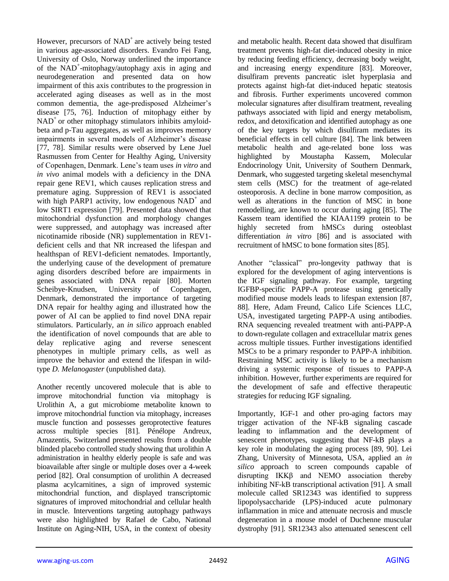However, precursors of  $NAD<sup>+</sup>$  are actively being tested in various age-associated disorders. Evandro Fei Fang, University of Oslo, Norway underlined the importance of the NAD<sup>+</sup>-mitophagy/autophagy axis in aging and neurodegeneration and presented data on how impairment of this axis contributes to the progression in accelerated aging diseases as well as in the most common dementia, the age-predisposed Alzheimer's disease [75, 76]. Induction of mitophagy either by  $NAD<sup>+</sup>$  or other mitophagy stimulators inhibits amyloidbeta and p-Tau aggregates, as well as improves memory impairments in several models of Alzheimer's disease [77, 78]. Similar results were observed by Lene Juel Rasmussen from Center for Healthy Aging, University of Copenhagen, Denmark. Lene"s team uses *in vitro* and *in vivo* animal models with a deficiency in the DNA repair gene REV1, which causes replication stress and premature aging. Suppression of REV1 is associated with high PARP1 activity, low endogenous  $NAD^+$  and low SIRT1 expression [79]. Presented data showed that mitochondrial dysfunction and morphology changes were suppressed, and autophagy was increased after nicotinamide riboside (NR) supplementation in REV1 deficient cells and that NR increased the lifespan and healthspan of REV1-deficient nematodes. Importantly, the underlying cause of the development of premature aging disorders described before are impairments in genes associated with DNA repair [80]. Morten Scheibye-Knudsen, University of Copenhagen, Denmark, demonstrated the importance of targeting DNA repair for healthy aging and illustrated how the power of AI can be applied to find novel DNA repair stimulators. Particularly, an *in silico* approach enabled the identification of novel compounds that are able to delay replicative aging and reverse senescent phenotypes in multiple primary cells, as well as improve the behavior and extend the lifespan in wildtype *D. Melanogaster* (unpublished data).

Another recently uncovered molecule that is able to improve mitochondrial function via mitophagy is Urolithin A, a gut microbiome metabolite known to improve mitochondrial function via mitophagy, increases muscle function and possesses geroprotective features across multiple species [81]. Pénélope Andreux, Amazentis, Switzerland presented results from a double blinded placebo controlled study showing that urolithin A administration in healthy elderly people is safe and was bioavailable after single or multiple doses over a 4-week period [82]. Oral consumption of urolithin A decreased plasma acylcarnitines, a sign of improved systemic mitochondrial function, and displayed transcriptomic signatures of improved mitochondrial and cellular health in muscle. Interventions targeting autophagy pathways were also highlighted by Rafael de Cabo, National Institute on Aging-NIH, USA, in the context of obesity and metabolic health. Recent data showed that disulfiram treatment prevents high-fat diet-induced obesity in mice by reducing feeding efficiency, decreasing body weight, and increasing energy expenditure [83]. Moreover, disulfiram prevents pancreatic islet hyperplasia and protects against high-fat diet-induced hepatic steatosis and fibrosis. Further experiments uncovered common molecular signatures after disulfiram treatment, revealing pathways associated with lipid and energy metabolism, redox, and detoxification and identified autophagy as one of the key targets by which disulfiram mediates its beneficial effects in cell culture [84]. The link between metabolic health and age-related bone loss was highlighted by Moustapha Kassem, Molecular Endocrinology Unit, University of Southern Denmark, Denmark, who suggested targeting skeletal mesenchymal stem cells (MSC) for the treatment of age-related osteoporosis. A decline in bone marrow composition, as well as alterations in the function of MSC in bone remodelling, are known to occur during aging [85]. The Kassem team identified the KIAA1199 protein to be highly secreted from hMSCs during osteoblast differentiation *in vitro* [86] and is associated with recruitment of hMSC to bone formation sites [85].

Another "classical" pro-longevity pathway that is explored for the development of aging interventions is the IGF signaling pathway. For example, targeting IGFBP-specific PAPP-A protease using genetically modified mouse models leads to lifespan extension [87, 88]. Here, Adam Freund, Calico Life Sciences LLC, USA, investigated targeting PAPP-A using antibodies. RNA sequencing revealed treatment with anti-PAPP-A to down-regulate collagen and extracellular matrix genes across multiple tissues. Further investigations identified MSCs to be a primary responder to PAPP-A inhibition. Restraining MSC activity is likely to be a mechanism driving a systemic response of tissues to PAPP-A inhibition. However, further experiments are required for the development of safe and effective therapeutic strategies for reducing IGF signaling.

Importantly, IGF-1 and other pro-aging factors may trigger activation of the NF-kB signaling cascade leading to inflammation and the development of senescent phenotypes, suggesting that NF-kB plays a key role in modulating the aging process [89, 90]. Lei Zhang, University of Minnesota, USA, applied an *in silico* approach to screen compounds capable of disrupting IKKβ and NEMO association thereby inhibiting NF-kB transcriptional activation [91]. A small molecule called SR12343 was identified to suppress lipopolysaccharide (LPS)-induced acute pulmonary inflammation in mice and attenuate necrosis and muscle degeneration in a mouse model of Duchenne muscular dystrophy [91]. SR12343 also attenuated senescent cell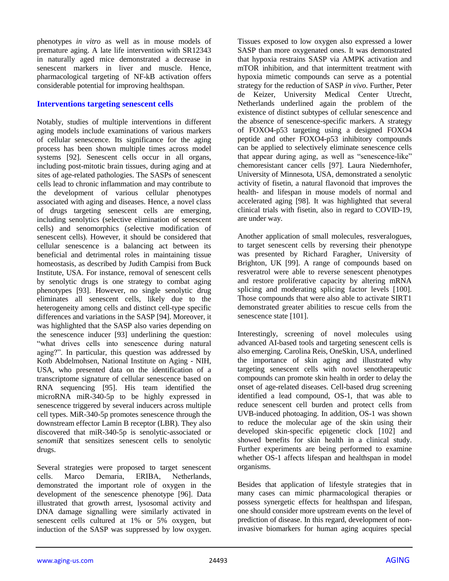phenotypes *in vitro* as well as in mouse models of premature aging. A late life intervention with SR12343 in naturally aged mice demonstrated a decrease in senescent markers in liver and muscle. Hence, pharmacological targeting of NF-kB activation offers considerable potential for improving healthspan.

#### **Interventions targeting senescent cells**

Notably, studies of multiple interventions in different aging models include examinations of various markers of cellular senescence. Its significance for the aging process has been shown multiple times across model systems [92]. Senescent cells occur in all organs, including post-mitotic brain tissues, during aging and at sites of age-related pathologies. The SASPs of senescent cells lead to chronic inflammation and may contribute to the development of various cellular phenotypes associated with aging and diseases. Hence, a novel class of drugs targeting senescent cells are emerging, including senolytics (selective elimination of senescent cells) and senomorphics (selective modification of senescent cells). However, it should be considered that cellular senescence is a balancing act between its beneficial and detrimental roles in maintaining tissue homeostasis, as described by Judith Campisi from Buck Institute, USA. For instance, removal of senescent cells by senolytic drugs is one strategy to combat aging phenotypes [93]. However, no single senolytic drug eliminates all senescent cells, likely due to the heterogeneity among cells and distinct cell-type specific differences and variations in the SASP [94]. Moreover, it was highlighted that the SASP also varies depending on the senescence inducer [93] underlining the question: "what drives cells into senescence during natural aging?". In particular, this question was addressed by Kotb Abdelmohsen, National Institute on Aging - NIH, USA, who presented data on the identification of a transcriptome signature of cellular senescence based on RNA sequencing [95]. His team identified the microRNA miR-340-5p to be highly expressed in senescence triggered by several inducers across multiple cell types. MiR-340-5p promotes senescence through the downstream effector Lamin B receptor (LBR). They also discovered that miR-340-5p is senolytic-associated or *senomiR* that sensitizes senescent cells to senolytic drugs.

Several strategies were proposed to target senescent cells. Marсo Demaria, ERIBA, Netherlands, demonstrated the important role of oxygen in the development of the senescence phenotype [96]. Data illustrated that growth arrest, lysosomal activity and DNA damage signalling were similarly activated in senescent cells cultured at 1% or 5% oxygen, but induction of the SASP was suppressed by low oxygen.

Tissues exposed to low oxygen also expressed a lower SASP than more oxygenated ones. It was demonstrated that hypoxia restrains SASP via AMPK activation and mTOR inhibition, and that intermittent treatment with hypoxia mimetic compounds can serve as a potential strategy for the reduction of SASP *in vivo*. Further, Peter de Keizer, University Medical Center Utrecht, Netherlands underlined again the problem of the existence of distinct subtypes of cellular senescence and the absence of senescence-specific markers. A strategy of FOXO4-p53 targeting using a designed FOXO4 peptide and other FOXO4-p53 inhibitory compounds can be applied to selectively eliminate senescence cells that appear during aging, as well as "senescence-like" chemoresistant cancer cells [97]. Laura Niedernhofer, University of Minnesota, USA, demonstrated a senolytic activity of fisetin, a natural flavonoid that improves the health- and lifespan in mouse models of normal and accelerated aging [98]. It was highlighted that several clinical trials with fisetin, also in regard to COVID-19, are under way.

Another application of small molecules, resveralogues, to target senescent cells by reversing their phenotype was presented by Richard Faragher, University of Brighton, UK [99]. A range of compounds based on resveratrol were able to reverse senescent phenotypes and restore proliferative capacity by altering mRNA splicing and moderating splicing factor levels [100]. Those compounds that were also able to activate SIRT1 demonstrated greater abilities to rescue cells from the senescence state [101].

Interestingly, screening of novel molecules using advanced AI-based tools and targeting senescent cells is also emerging. Carolina Reis, OneSkin, USA, underlined the importance of skin aging and illustrated why targeting senescent cells with novel senotherapeutic compounds can promote skin health in order to delay the onset of age-related diseases. Cell-based drug screening identified a lead compound, OS-1, that was able to reduce senescent cell burden and protect cells from UVB-induced photoaging. In addition, OS-1 was shown to reduce the molecular age of the skin using their developed skin-specific epigenetic clock [102] and showed benefits for skin health in a clinical study. Further experiments are being performed to examine whether OS-1 affects lifespan and healthspan in model organisms.

Besides that application of lifestyle strategies that in many cases can mimic pharmacological therapies or possess synergetic effects for healthspan and lifespan, one should consider more upstream events on the level of prediction of disease. In this regard, development of noninvasive biomarkers for human aging acquires special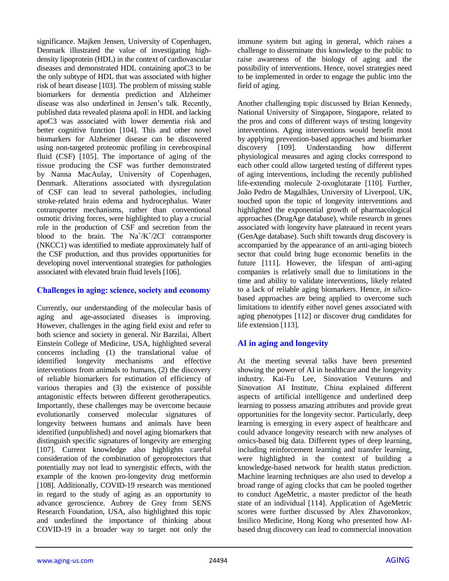significance. Majken Jensen, University of Copenhagen, Denmark illustrated the value of investigating highdensity lipoprotein (HDL) in the context of cardiovascular diseases and demonstrated HDL containing apoC3 to be the only subtype of HDL that was associated with higher risk of heart disease [103]. The problem of missing stable biomarkers for dementia prediction and Alzheimer disease was also underlined in Jensen"s talk. Recently, published data revealed plasma apoE in HDL and lacking apoC3 was associated with lower dementia risk and better cognitive function [104]. This and other novel biomarkers for Alzheimer disease can be discovered using non-targeted proteomic profiling in cerebrospinal fluid (CSF) [105]. The importance of aging of the tissue producing the CSF was further demonstrated by Nanna MacAulay, University of Copenhagen, Denmark. Alterations associated with dysregulation of CSF can lead to several pathologies, including stroke-related brain edema and hydrocephalus. Water cotransporter mechanisms, rather than conventional osmotic driving forces, were highlighted to play a crucial role in the production of CSF and secretion from the blood to the brain. The  $\text{Na}^+\text{/}\text{K}^+\text{/}\text{2CI}$  cotransporter (NKCC1) was identified to mediate approximately half of the CSF production, and thus provides opportunities for developing novel interventional strategies for pathologies associated with elevated brain fluid levels [106].

### **Challenges in aging: science, society and economy**

Currently, our understanding of the molecular basis of aging and age-associated diseases is improving. However, challenges in the aging field exist and refer to both science and society in general. Nir Barzilai, Albert Einstein College of Medicine, USA, highlighted several concerns including (1) the translational value of identified longevity mechanisms and effective interventions from animals to humans, (2) the discovery of reliable biomarkers for estimation of efficiency of various therapies and (3) the existence of possible antagonistic effects between different gerotherapeutics. Importantly, these challenges may be overcome because evolutionarily conserved molecular signatures of longevity between humans and animals have been identified (unpublished) and novel aging biomarkers that distinguish specific signatures of longevity are emerging [107]. Current knowledge also highlights careful consideration of the combination of geroprotectors that potentially may not lead to synergistic effects, with the example of the known pro-longevity drug metformin [108]. Additionally, COVID-19 research was mentioned in regard to the study of aging as an opportunity to advance geroscience. Aubrey de Grey from SENS Research Foundation, USA, also highlighted this topic and underlined the importance of thinking about COVID-19 in a broader way to target not only the

immune system but aging in general, which raises a challenge to disseminate this knowledge to the public to raise awareness of the biology of aging and the possibility of interventions. Hence, novel strategies need to be implemented in order to engage the public into the field of aging.

Another challenging topic discussed by Brian Kennedy, National University of Singapore, Singapore, related to the pros and cons of different ways of testing longevity interventions. Aging interventions would benefit most by applying prevention-based approaches and biomarker discovery [109]. Understanding how different physiological measures and aging clocks correspond to each other could allow targeted testing of different types of aging interventions, including the recently published life-extending molecule 2-oxoglutarate [110]. Further, João Pedro de Magalhães, University of Liverpool, UK, touched upon the topic of longevity interventions and highlighted the exponential growth of pharmacological approaches (DrugAge database), while research in genes associated with longevity have plateaued in recent years (GenAge database). Such shift towards drug discovery is accompanied by the appearance of an anti-aging biotech sector that could bring huge economic benefits in the future [111]. However, the lifespan of anti-aging companies is relatively small due to limitations in the time and ability to validate interventions, likely related to a lack of reliable aging biomarkers. Hence, *in silico*based approaches are being applied to overcome such limitations to identify either novel genes associated with aging phenotypes [112] or discover drug candidates for life extension [113].

# **AI in aging and longevity**

At the meeting several talks have been presented showing the power of AI in healthcare and the longevity industry. Kai-Fu Lee, Sinovation Ventures and Sinovation AI Institute, China explained different aspects of artificial intelligence and underlined deep learning to possess amazing attributes and provide great opportunities for the longevity sector. Particularly, deep learning is emerging in every aspect of healthcare and could advance longevity research with new analyses of omics-based big data. Different types of deep learning, including reinforcement learning and transfer learning, were highlighted in the context of building a knowledge-based network for health status prediction. Machine learning techniques are also used to develop a broad range of aging clocks that can be pooled together to conduct AgeMetric, a master predictor of the heath state of an individual [114]. Application of AgeMetric scores were further discussed by Alex Zhavoronkov, Insilico Medicine, Hong Kong who presented how AIbased drug discovery can lead to commercial innovation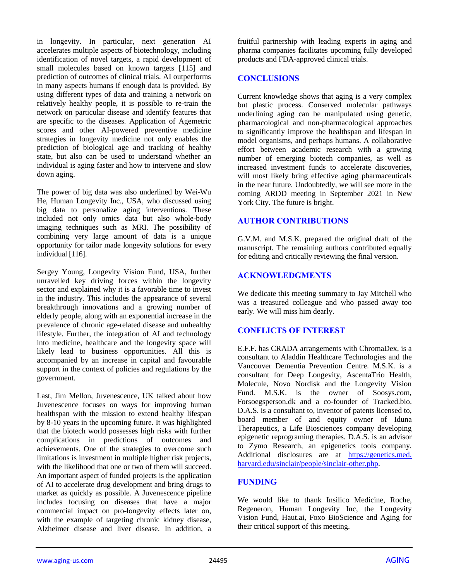in longevity. In particular, next generation AI accelerates multiple aspects of biotechnology, including identification of novel targets, a rapid development of small molecules based on known targets [115] and prediction of outcomes of clinical trials. AI outperforms in many aspects humans if enough data is provided. By using different types of data and training a network on relatively healthy people, it is possible to re-train the network on particular disease and identify features that are specific to the diseases. Application of Agemetric scores and other AI-powered preventive medicine strategies in longevity medicine not only enables the prediction of biological age and tracking of healthy state, but also can be used to understand whether an individual is aging faster and how to intervene and slow down aging.

The power of big data was also underlined by Wei-Wu He, Human Longevity Inc., USA, who discussed using big data to personalize aging interventions. These included not only omics data but also whole-body imaging techniques such as MRI. The possibility of combining very large amount of data is a unique opportunity for tailor made longevity solutions for every individual [116].

Sergey Young, Longevity Vision Fund, USA, further unravelled key driving forces within the longevity sector and explained why it is a favorable time to invest in the industry. This includes the appearance of several breakthrough innovations and a growing number of elderly people, along with an exponential increase in the prevalence of chronic age-related disease and unhealthy lifestyle. Further, the integration of AI and technology into medicine, healthcare and the longevity space will likely lead to business opportunities. All this is accompanied by an increase in capital and favourable support in the context of policies and regulations by the government.

Last, Jim Mellon, Juvenescence, UK talked about how Juvenescence focuses on ways for improving human healthspan with the mission to extend healthy lifespan by 8-10 years in the upcoming future. It was highlighted that the biotech world possesses high risks with further complications in predictions of outcomes and achievements. One of the strategies to overcome such limitations is investment in multiple higher risk projects, with the likelihood that one or two of them will succeed. An important aspect of funded projects is the application of AI to accelerate drug development and bring drugs to market as quickly as possible. A Juvenescence pipeline includes focusing on diseases that have a major commercial impact on pro-longevity effects later on, with the example of targeting chronic kidney disease, Alzheimer disease and liver disease. In addition, a

fruitful partnership with leading experts in aging and pharma companies facilitates upcoming fully developed products and FDA-approved clinical trials.

#### **CONCLUSIONS**

Current knowledge shows that aging is a very complex but plastic process. Conserved molecular pathways underlining aging can be manipulated using genetic, pharmacological and non-pharmacological approaches to significantly improve the healthspan and lifespan in model organisms, and perhaps humans. A collaborative effort between academic research with a growing number of emerging biotech companies, as well as increased investment funds to accelerate discoveries, will most likely bring effective aging pharmaceuticals in the near future. Undoubtedly, we will see more in the coming ARDD meeting in September 2021 in New York City. The future is bright.

#### **AUTHOR CONTRIBUTIONS**

G.V.M. and M.S.K. prepared the original draft of the manuscript. The remaining authors contributed equally for editing and critically reviewing the final version.

# **ACKNOWLEDGMENTS**

We dedicate this meeting summary to Jay Mitchell who was a treasured colleague and who passed away too early. We will miss him dearly.

# **CONFLICTS OF INTEREST**

E.F.F. has CRADA arrangements with ChromaDex, is a consultant to Aladdin Healthcare Technologies and the Vancouver Dementia Prevention Centre. M.S.K. is a consultant for Deep Longevity, AscentaTrio Health, Molecule, Novo Nordisk and the Longevity Vision Fund. M.S.K. is the owner of Soosys.com, Forsoegsperson.dk and a co-founder of Tracked.bio. D.A.S. is a consultant to, inventor of patents licensed to, board member of and equity owner of Iduna Therapeutics, a Life Biosciences company developing epigenetic reprograming therapies. D.A.S. is an advisor to Zymo Research, an epigenetics tools company. Additional disclosures are at [https://genetics.med.](https://genetics.med.harvard.edu/sinclair/people/sinclair-other.php) [harvard.edu/sinclair/people/sinclair-other.php.](https://genetics.med.harvard.edu/sinclair/people/sinclair-other.php)

# **FUNDING**

We would like to thank Insilico Medicine, Roche, Regeneron, Human Longevity Inc, the Longevity Vision Fund, Haut.ai, Foxo BioScience and Aging for their critical support of this meeting.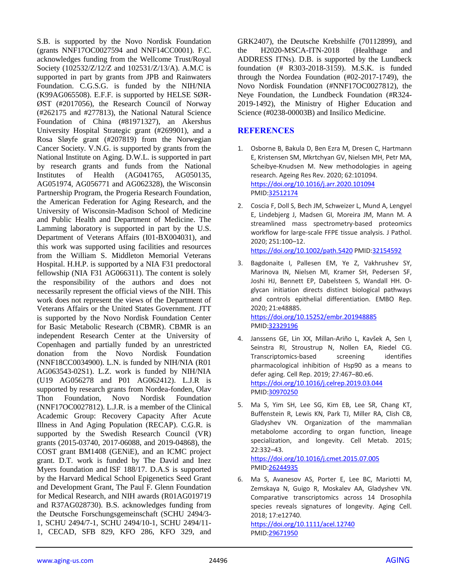S.B. is supported by the Novo Nordisk Foundation (grants NNF17OC0027594 and NNF14CC0001). F.C. acknowledges funding from the Wellcome Trust/Royal Society (102532/Z/12/Z and 102531/Z/13/A). A.M.C is supported in part by grants from JPB and Rainwaters Foundation. C.G.S.G. is funded by the NIH/NIA (K99AG065508). E.F.F. is supported by HELSE SØR-ØST (#2017056), the Research Council of Norway (#262175 and #277813), the National Natural Science Foundation of China (#81971327), an Akershus University Hospital Strategic grant (#269901), and a Rosa Sløyfe grant (#207819) from the Norwegian Cancer Society. V.N.G. is supported by grants from the National Institute on Aging. D.W.L. is supported in part by research grants and funds from the National Institutes of Health (AG041765, AG050135, AG051974, AG056771 and AG062328), the Wisconsin Partnership Program, the Progeria Research Foundation, the American Federation for Aging Research, and the University of Wisconsin-Madison School of Medicine and Public Health and Department of Medicine. The Lamming laboratory is supported in part by the U.S. Department of Veterans Affairs (I01-BX004031), and this work was supported using facilities and resources from the William S. Middleton Memorial Veterans Hospital. H.H.P. is supported by a NIA F31 predoctoral fellowship (NIA F31 AG066311). The content is solely the responsibility of the authors and does not necessarily represent the official views of the NIH. This work does not represent the views of the Department of Veterans Affairs or the United States Government. JTT is supported by the Novo Nordisk Foundation Center for Basic Metabolic Research (CBMR). CBMR is an independent Research Center at the University of Copenhagen and partially funded by an unrestricted donation from the Novo Nordisk Foundation (NNF18CC0034900). L.N. is funded by NIH/NIA (R01 AG063543-02S1). L.Z. work is funded by NIH/NIA (U19 AG056278 and P01 AG062412). L.J.R is supported by research grants from Nordea-fonden, Olav Thon Foundation, Novo Nordisk Foundation (NNF17OC0027812). L.J.R. is a member of the Clinical Academic Group: Recovery Capacity After Acute Illness in And Aging Population (RECAP). C.G.R. is supported by the Swedish Research Council (VR) grants (2015-03740, 2017-06088, and 2019-04868), the COST grant BM1408 (GENiE), and an ICMC project grant. D.T. work is funded by The David and Inez Myers foundation and ISF 188/17. D.A.S is supported by the Harvard Medical School Epigenetics Seed Grant and Development Grant, The Paul F. Glenn Foundation for Medical Research, and NIH awards (R01AG019719 and R37AG028730). B.S. acknowledges funding from the Deutsche Forschungsgemeinschaft (SCHU 2494/3- 1, SCHU 2494/7-1, SCHU 2494/10-1, SCHU 2494/11- 1, CECAD, SFB 829, KFO 286, KFO 329, and

GRK2407), the Deutsche Krebshilfe (70112899), and the H2020-MSCA-ITN-2018 (Healthage and ADDRESS ITNs). D.B. is supported by the Lundbeck foundation (# R303-2018-3159). M.S.K. is funded through the Nordea Foundation (#02-2017-1749), the Novo Nordisk Foundation (#NNF17OC0027812), the Neye Foundation, the Lundbeck Foundation (#R324- 2019-1492), the Ministry of Higher Education and Science (#0238-00003B) and Insilico Medicine.

#### **REFERENCES**

- 1. Osborne B, Bakula D, Ben Ezra M, Dresen C, Hartmann E, Kristensen SM, Mkrtchyan GV, Nielsen MH, Petr MA, Scheibye-Knudsen M. New methodologies in ageing research. Ageing Res Rev. 2020; 62:101094. <https://doi.org/10.1016/j.arr.2020.101094> PMI[D:32512174](https://pubmed.ncbi.nlm.nih.gov/32512174)
- 2. Coscia F, Doll S, Bech JM, Schweizer L, Mund A, Lengyel E, Lindebjerg J, Madsen GI, Moreira JM, Mann M. A streamlined mass spectrometry-based proteomics workflow for large-scale FFPE tissue analysis. J Pathol. 2020; 251:100–12. <https://doi.org/10.1002/path.5420> PMID[:32154592](https://pubmed.ncbi.nlm.nih.gov/32154592)
- 3. Bagdonaite I, Pallesen EM, Ye Z, Vakhrushev SY, Marinova IN, Nielsen MI, Kramer SH, Pedersen SF, Joshi HJ, Bennett EP, Dabelsteen S, Wandall HH. Oglycan initiation directs distinct biological pathways and controls epithelial differentiation. EMBO Rep. 2020; 21:e48885. <https://doi.org/10.15252/embr.201948885> PMI[D:32329196](https://pubmed.ncbi.nlm.nih.gov/32329196)
- 4. Janssens GE, Lin XX, Millan-Ariño L, Kavšek A, Sen I, Seinstra RI, Stroustrup N, Nollen EA, Riedel CG. Transcriptomics-based screening identifies pharmacological inhibition of Hsp90 as a means to defer aging. Cell Rep. 2019; 27:467–80.e6. <https://doi.org/10.1016/j.celrep.2019.03.044> PMI[D:30970250](https://pubmed.ncbi.nlm.nih.gov/30970250)
- 5. Ma S, Yim SH, Lee SG, Kim EB, Lee SR, Chang KT, Buffenstein R, Lewis KN, Park TJ, Miller RA, Clish CB, Gladyshev VN. Organization of the mammalian metabolome according to organ function, lineage specialization, and longevity. Cell Metab. 2015; 22:332–43. <https://doi.org/10.1016/j.cmet.2015.07.005>

PMI[D:26244935](https://pubmed.ncbi.nlm.nih.gov/26244935)

6. Ma S, Avanesov AS, Porter E, Lee BC, Mariotti M, Zemskaya N, Guigo R, Moskalev AA, Gladyshev VN. Comparative transcriptomics across 14 Drosophila species reveals signatures of longevity. Aging Cell. 2018; 17:e12740.

<https://doi.org/10.1111/acel.12740> PMI[D:29671950](https://pubmed.ncbi.nlm.nih.gov/29671950)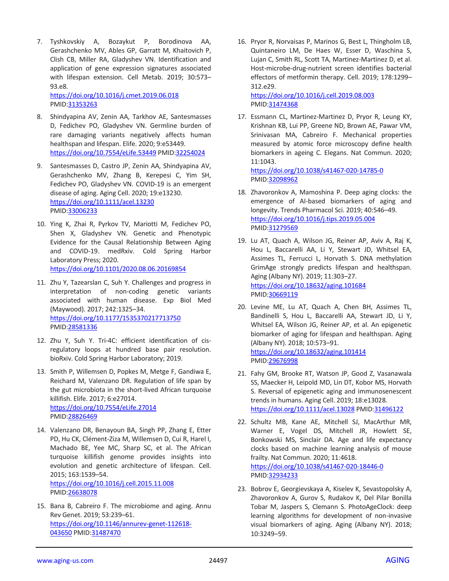7. Tyshkovskiy A, Bozaykut P, Borodinova AA, Gerashchenko MV, Ables GP, Garratt M, Khaitovich P, Clish CB, Miller RA, Gladyshev VN. Identification and application of gene expression signatures associated with lifespan extension. Cell Metab. 2019; 30:573– 93.e8.

<https://doi.org/10.1016/j.cmet.2019.06.018> PMID[:31353263](https://pubmed.ncbi.nlm.nih.gov/31353263)

- 8. Shindyapina AV, Zenin AA, Tarkhov AE, Santesmasses D, Fedichev PO, Gladyshev VN. Germline burden of rare damaging variants negatively affects human healthspan and lifespan. Elife. 2020; 9:e53449. <https://doi.org/10.7554/eLife.53449> PMID[:32254024](https://pubmed.ncbi.nlm.nih.gov/32254024)
- 9. Santesmasses D, Castro JP, Zenin AA, Shindyapina AV, Gerashchenko MV, Zhang B, Kerepesi C, Yim SH, Fedichev PO, Gladyshev VN. COVID-19 is an emergent disease of aging. Aging Cell. 2020; 19:e13230. <https://doi.org/10.1111/acel.13230> PMID[:33006233](https://pubmed.ncbi.nlm.nih.gov/33006233)
- 10. Ying K, Zhai R, Pyrkov TV, Mariotti M, Fedichev PO, Shen X, Gladyshev VN. Genetic and Phenotypic Evidence for the Causal Relationship Between Aging and COVID-19. medRxiv. Cold Spring Harbor Laboratory Press; 2020. <https://doi.org/10.1101/2020.08.06.20169854>
- 11. Zhu Y, Tazearslan C, Suh Y. Challenges and progress in interpretation of non-coding genetic variants associated with human disease. Exp Biol Med (Maywood). 2017; 242:1325–34. <https://doi.org/10.1177/1535370217713750> PMID[:28581336](https://pubmed.ncbi.nlm.nih.gov/28581336)
- 12. Zhu Y, Suh Y. Tri-4C: efficient identification of cisregulatory loops at hundred base pair resolution. bioRxiv. Cold Spring Harbor Laboratory; 2019.
- 13. Smith P, Willemsen D, Popkes M, Metge F, Gandiwa E, Reichard M, Valenzano DR. Regulation of life span by the gut microbiota in the short-lived African turquoise killifish. Elife. 2017; 6:e27014. <https://doi.org/10.7554/eLife.27014> PMID[:28826469](https://pubmed.ncbi.nlm.nih.gov/28826469)
- 14. Valenzano DR, Benayoun BA, Singh PP, Zhang E, Etter PD, Hu CK, Clément-Ziza M, Willemsen D, Cui R, Harel I, Machado BE, Yee MC, Sharp SC, et al. The African turquoise killifish genome provides insights into evolution and genetic architecture of lifespan. Cell. 2015; 163:1539–54. <https://doi.org/10.1016/j.cell.2015.11.008>

PMID[:26638078](https://pubmed.ncbi.nlm.nih.gov/26638078)

15. Bana B, Cabreiro F. The microbiome and aging. Annu Rev Genet. 2019; 53:239–61. [https://doi.org/10.1146/annurev-genet-112618-](https://doi.org/10.1146/annurev-genet-112618-043650) [043650](https://doi.org/10.1146/annurev-genet-112618-043650) PMID[:31487470](https://pubmed.ncbi.nlm.nih.gov/31487470)

16. Pryor R, Norvaisas P, Marinos G, Best L, Thingholm LB, Quintaneiro LM, De Haes W, Esser D, Waschina S, Lujan C, Smith RL, Scott TA, Martinez-Martinez D, et al. Host-microbe-drug-nutrient screen identifies bacterial effectors of metformin therapy. Cell. 2019; 178:1299– 312.e29.

<https://doi.org/10.1016/j.cell.2019.08.003> PMI[D:31474368](https://pubmed.ncbi.nlm.nih.gov/31474368)

17. Essmann CL, Martinez-Martinez D, Pryor R, Leung KY, Krishnan KB, Lui PP, Greene ND, Brown AE, Pawar VM, Srinivasan MA, Cabreiro F. Mechanical properties measured by atomic force microscopy define health biomarkers in ageing C. Elegans. Nat Commun. 2020; 11:1043.

<https://doi.org/10.1038/s41467-020-14785-0> PMI[D:32098962](https://pubmed.ncbi.nlm.nih.gov/32098962)

- 18. Zhavoronkov A, Mamoshina P. Deep aging clocks: the emergence of AI-based biomarkers of aging and longevity. Trends Pharmacol Sci. 2019; 40:546–49. <https://doi.org/10.1016/j.tips.2019.05.004> PMI[D:31279569](https://pubmed.ncbi.nlm.nih.gov/31279569)
- 19. Lu AT, Quach A, Wilson JG, Reiner AP, Aviv A, Raj K, Hou L, Baccarelli AA, Li Y, Stewart JD, Whitsel EA, Assimes TL, Ferrucci L, Horvath S. DNA methylation GrimAge strongly predicts lifespan and healthspan. Aging (Albany NY). 2019; 11:303–27. <https://doi.org/10.18632/aging.101684> PMI[D:30669119](https://pubmed.ncbi.nlm.nih.gov/30669119)
- 20. Levine ME, Lu AT, Quach A, Chen BH, Assimes TL, Bandinelli S, Hou L, Baccarelli AA, Stewart JD, Li Y, Whitsel EA, Wilson JG, Reiner AP, et al. An epigenetic biomarker of aging for lifespan and healthspan. Aging (Albany NY). 2018; 10:573–91. <https://doi.org/10.18632/aging.101414> PMI[D:29676998](https://pubmed.ncbi.nlm.nih.gov/29676998)
- 21. Fahy GM, Brooke RT, Watson JP, Good Z, Vasanawala SS, Maecker H, Leipold MD, Lin DT, Kobor MS, Horvath S. Reversal of epigenetic aging and immunosenescent trends in humans. Aging Cell. 2019; 18:e13028. <https://doi.org/10.1111/acel.13028> PMI[D:31496122](https://pubmed.ncbi.nlm.nih.gov/31496122)
- 22. Schultz MB, Kane AE, Mitchell SJ, MacArthur MR, Warner E, Vogel DS, Mitchell JR, Howlett SE, Bonkowski MS, Sinclair DA. Age and life expectancy clocks based on machine learning analysis of mouse frailty. Nat Commun. 2020; 11:4618. <https://doi.org/10.1038/s41467-020-18446-0> PMI[D:32934233](https://pubmed.ncbi.nlm.nih.gov/32934233)
- 23. Bobrov E, Georgievskaya A, Kiselev K, Sevastopolsky A, Zhavoronkov A, Gurov S, Rudakov K, Del Pilar Bonilla Tobar M, Jaspers S, Clemann S. PhotoAgeClock: deep learning algorithms for development of non-invasive visual biomarkers of aging. Aging (Albany NY). 2018; 10:3249–59.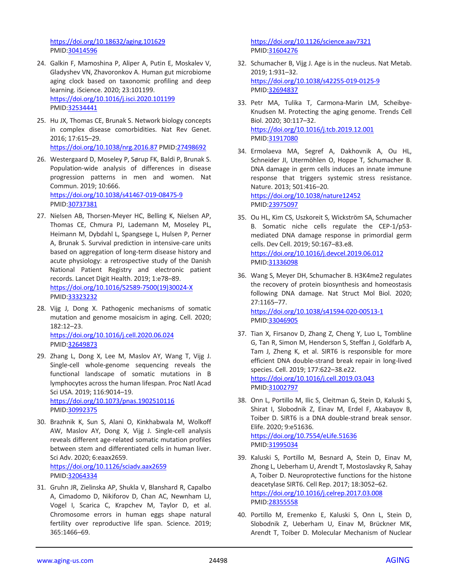<https://doi.org/10.18632/aging.101629> PMID[:30414596](https://pubmed.ncbi.nlm.nih.gov/30414596)

- 24. Galkin F, Mamoshina P, Aliper A, Putin E, Moskalev V, Gladyshev VN, Zhavoronkov A. Human gut microbiome aging clock based on taxonomic profiling and deep learning. iScience. 2020; 23:101199. <https://doi.org/10.1016/j.isci.2020.101199> PMID[:32534441](https://pubmed.ncbi.nlm.nih.gov/32534441)
- 25. Hu JX, Thomas CE, Brunak S. Network biology concepts in complex disease comorbidities. Nat Rev Genet. 2016; 17:615–29. <https://doi.org/10.1038/nrg.2016.87> PMID[:27498692](https://pubmed.ncbi.nlm.nih.gov/27498692)
- 26. Westergaard D, Moseley P, Sørup FK, Baldi P, Brunak S. Population-wide analysis of differences in disease progression patterns in men and women. Nat Commun. 2019; 10:666. <https://doi.org/10.1038/s41467-019-08475-9> PMID[:30737381](https://pubmed.ncbi.nlm.nih.gov/30737381)
- 27. Nielsen AB, Thorsen-Meyer HC, Belling K, Nielsen AP, Thomas CE, Chmura PJ, Lademann M, Moseley PL, Heimann M, Dybdahl L, Spangsege L, Hulsen P, Perner A, Brunak S. Survival prediction in intensive-care units based on aggregation of long-term disease history and acute physiology: a retrospective study of the Danish National Patient Registry and electronic patient records. Lancet Digit Health. 2019; 1:e78–89. [https://doi.org/10.1016/S2589-7500\(19\)30024-X](https://doi.org/10.1016/S2589-7500(19)30024-X) PMID[:33323232](https://pubmed.ncbi.nlm.nih.gov/33323232)
- 28. Vijg J, Dong X. Pathogenic mechanisms of somatic mutation and genome mosaicism in aging. Cell. 2020; 182:12–23. <https://doi.org/10.1016/j.cell.2020.06.024> PMID[:32649873](https://pubmed.ncbi.nlm.nih.gov/32649873)
- 29. Zhang L, Dong X, Lee M, Maslov AY, Wang T, Vijg J. Single-cell whole-genome sequencing reveals the functional landscape of somatic mutations in B lymphocytes across the human lifespan. Proc Natl Acad Sci USA. 2019; 116:9014–19. <https://doi.org/10.1073/pnas.1902510116> PMID[:30992375](https://pubmed.ncbi.nlm.nih.gov/30992375)
- 30. Brazhnik K, Sun S, Alani O, Kinkhabwala M, Wolkoff AW, Maslov AY, Dong X, Vijg J. Single-cell analysis reveals different age-related somatic mutation profiles between stem and differentiated cells in human liver. Sci Adv. 2020; 6:eaax2659. <https://doi.org/10.1126/sciadv.aax2659> PMID[:32064334](https://pubmed.ncbi.nlm.nih.gov/32064334)
- 31. Gruhn JR, Zielinska AP, Shukla V, Blanshard R, Capalbo A, Cimadomo D, Nikiforov D, Chan AC, Newnham LJ, Vogel I, Scarica C, Krapchev M, Taylor D, et al. Chromosome errors in human eggs shape natural fertility over reproductive life span. Science. 2019; 365:1466–69.

<https://doi.org/10.1126/science.aav7321> PMI[D:31604276](https://pubmed.ncbi.nlm.nih.gov/31604276)

- 32. Schumacher B, Vijg J. Age is in the nucleus. Nat Metab. 2019; 1:931–32. <https://doi.org/10.1038/s42255-019-0125-9> PMI[D:32694837](https://pubmed.ncbi.nlm.nih.gov/32694837)
- 33. Petr MA, Tulika T, Carmona-Marin LM, Scheibye-Knudsen M. Protecting the aging genome. Trends Cell Biol. 2020; 30:117–32. <https://doi.org/10.1016/j.tcb.2019.12.001> PMI[D:31917080](https://pubmed.ncbi.nlm.nih.gov/31917080)
- 34. Ermolaeva MA, Segref A, Dakhovnik A, Ou HL, Schneider JI, Utermöhlen O, Hoppe T, Schumacher B. DNA damage in germ cells induces an innate immune response that triggers systemic stress resistance. Nature. 2013; 501:416–20. <https://doi.org/10.1038/nature12452> PMI[D:23975097](https://pubmed.ncbi.nlm.nih.gov/23975097)
- 35. Ou HL, Kim CS, Uszkoreit S, Wickström SA, Schumacher B. Somatic niche cells regulate the CEP-1/p53 mediated DNA damage response in primordial germ cells. Dev Cell. 2019; 50:167–83.e8. <https://doi.org/10.1016/j.devcel.2019.06.012> PMI[D:31336098](https://pubmed.ncbi.nlm.nih.gov/31336098)
- 36. Wang S, Meyer DH, Schumacher B. H3K4me2 regulates the recovery of protein biosynthesis and homeostasis following DNA damage. Nat Struct Mol Biol. 2020; 27:1165–77. <https://doi.org/10.1038/s41594-020-00513-1> PMI[D:33046905](https://pubmed.ncbi.nlm.nih.gov/33046905)
- 37. Tian X, Firsanov D, Zhang Z, Cheng Y, Luo L, Tombline G, Tan R, Simon M, Henderson S, Steffan J, Goldfarb A, Tam J, Zheng K, et al. SIRT6 is responsible for more efficient DNA double-strand break repair in long-lived species. Cell. 2019; 177:622–38.e22. <https://doi.org/10.1016/j.cell.2019.03.043> PMI[D:31002797](https://pubmed.ncbi.nlm.nih.gov/31002797)
- 38. Onn L, Portillo M, Ilic S, Cleitman G, Stein D, Kaluski S, Shirat I, Slobodnik Z, Einav M, Erdel F, Akabayov B, Toiber D. SIRT6 is a DNA double-strand break sensor. Elife. 2020; 9:e51636. <https://doi.org/10.7554/eLife.51636> PMI[D:31995034](https://pubmed.ncbi.nlm.nih.gov/31995034)
- 39. Kaluski S, Portillo M, Besnard A, Stein D, Einav M, Zhong L, Ueberham U, Arendt T, Mostoslavsky R, Sahay A, Toiber D. Neuroprotective functions for the histone deacetylase SIRT6. Cell Rep. 2017; 18:3052–62. <https://doi.org/10.1016/j.celrep.2017.03.008> PMI[D:28355558](https://pubmed.ncbi.nlm.nih.gov/28355558)
- 40. Portillo M, Eremenko E, Kaluski S, Onn L, Stein D, Slobodnik Z, Ueberham U, Einav M, Brückner MK, Arendt T, Toiber D. Molecular Mechanism of Nuclear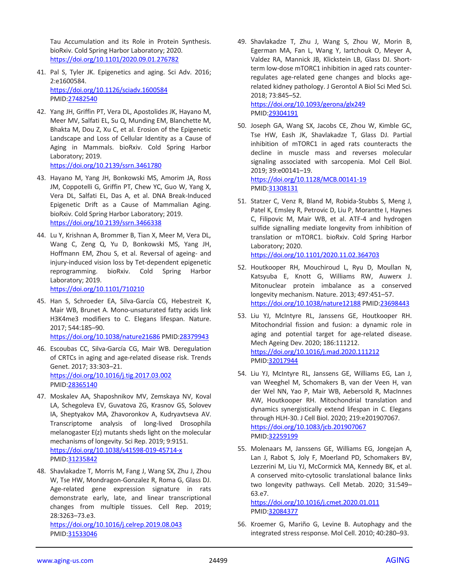Tau Accumulation and its Role in Protein Synthesis. bioRxiv. Cold Spring Harbor Laboratory; 2020. <https://doi.org/10.1101/2020.09.01.276782>

- 41. Pal S, Tyler JK. Epigenetics and aging. Sci Adv. 2016; 2:e1600584. <https://doi.org/10.1126/sciadv.1600584> PMID[:27482540](https://pubmed.ncbi.nlm.nih.gov/27482540)
- 42. Yang JH, Griffin PT, Vera DL, Apostolides JK, Hayano M, Meer MV, Salfati EL, Su Q, Munding EM, Blanchette M, Bhakta M, Dou Z, Xu C, et al. Erosion of the Epigenetic Landscape and Loss of Cellular Identity as a Cause of Aging in Mammals. bioRxiv. Cold Spring Harbor Laboratory; 2019. <https://doi.org/10.2139/ssrn.3461780>
- 43. Hayano M, Yang JH, Bonkowski MS, Amorim JA, Ross JM, Coppotelli G, Griffin PT, Chew YC, Guo W, Yang X, Vera DL, Salfati EL, Das A, et al. DNA Break-Induced Epigenetic Drift as a Cause of Mammalian Aging. bioRxiv. Cold Spring Harbor Laboratory; 2019. <https://doi.org/10.2139/ssrn.3466338>
- 44. Lu Y, Krishnan A, Brommer B, Tian X, Meer M, Vera DL, Wang C, Zeng Q, Yu D, Bonkowski MS, Yang JH, Hoffmann EM, Zhou S, et al. Reversal of ageing- and injury-induced vision loss by Tet-dependent epigenetic reprogramming. bioRxiv. Cold Spring Harbor Laboratory; 2019.

<https://doi.org/10.1101/710210>

45. Han S, Schroeder EA, Silva-García CG, Hebestreit K, Mair WB, Brunet A. Mono-unsaturated fatty acids link H3K4me3 modifiers to C. Elegans lifespan. Nature. 2017; 544:185–90.

<https://doi.org/10.1038/nature21686> PMID[:28379943](https://pubmed.ncbi.nlm.nih.gov/28379943)

- 46. Escoubas CC, Silva-García CG, Mair WB. Deregulation of CRTCs in aging and age-related disease risk. Trends Genet. 2017; 33:303–21. <https://doi.org/10.1016/j.tig.2017.03.002> PMID[:28365140](https://pubmed.ncbi.nlm.nih.gov/28365140)
- 47. Moskalev AA, Shaposhnikov MV, Zemskaya NV, Koval LА, Schegoleva EV, Guvatova ZG, Krasnov GS, Solovev IA, Sheptyakov MA, Zhavoronkov A, Kudryavtseva AV. Transcriptome analysis of long-lived Drosophila melanogaster E(z) mutants sheds light on the molecular mechanisms of longevity. Sci Rep. 2019; 9:9151. <https://doi.org/10.1038/s41598-019-45714-x> PMID[:31235842](https://pubmed.ncbi.nlm.nih.gov/31235842)
- 48. Shavlakadze T, Morris M, Fang J, Wang SX, Zhu J, Zhou W, Tse HW, Mondragon-Gonzalez R, Roma G, Glass DJ. Age-related gene expression signature in rats demonstrate early, late, and linear transcriptional changes from multiple tissues. Cell Rep. 2019; 28:3263–73.e3.

<https://doi.org/10.1016/j.celrep.2019.08.043> PMID[:31533046](https://pubmed.ncbi.nlm.nih.gov/31533046)

49. Shavlakadze T, Zhu J, Wang S, Zhou W, Morin B, Egerman MA, Fan L, Wang Y, Iartchouk O, Meyer A, Valdez RA, Mannick JB, Klickstein LB, Glass DJ. Shortterm low-dose mTORC1 inhibition in aged rats counterregulates age-related gene changes and blocks agerelated kidney pathology. J Gerontol A Biol Sci Med Sci. 2018; 73:845–52.

<https://doi.org/10.1093/gerona/glx249> PMI[D:29304191](https://pubmed.ncbi.nlm.nih.gov/29304191)

50. Joseph GA, Wang SX, Jacobs CE, Zhou W, Kimble GC, Tse HW, Eash JK, Shavlakadze T, Glass DJ. Partial inhibition of mTORC1 in aged rats counteracts the decline in muscle mass and reverses molecular signaling associated with sarcopenia. Mol Cell Biol. 2019; 39:e00141–19.

<https://doi.org/10.1128/MCB.00141-19> PMI[D:31308131](https://pubmed.ncbi.nlm.nih.gov/31308131)

51. Statzer C, Venz R, Bland M, Robida-Stubbs S, Meng J, Patel K, Emsley R, Petrovic D, Liu P, Morantte I, Haynes C, Filipovic M, Mair WB, et al. ATF-4 and hydrogen sulfide signalling mediate longevity from inhibition of translation or mTORC1. bioRxiv. Cold Spring Harbor Laboratory; 2020.

<https://doi.org/10.1101/2020.11.02.364703>

- 52. Houtkooper RH, Mouchiroud L, Ryu D, Moullan N, Katsyuba E, Knott G, Williams RW, Auwerx J. Mitonuclear protein imbalance as a conserved longevity mechanism. Nature. 2013; 497:451–57. <https://doi.org/10.1038/nature12188> PMI[D:23698443](https://pubmed.ncbi.nlm.nih.gov/23698443)
- 53. Liu YJ, McIntyre RL, Janssens GE, Houtkooper RH. Mitochondrial fission and fusion: a dynamic role in aging and potential target for age-related disease. Mech Ageing Dev. 2020; 186:111212. <https://doi.org/10.1016/j.mad.2020.111212> PMI[D:32017944](https://pubmed.ncbi.nlm.nih.gov/32017944)
- 54. Liu YJ, McIntyre RL, Janssens GE, Williams EG, Lan J, van Weeghel M, Schomakers B, van der Veen H, van der Wel NN, Yao P, Mair WB, Aebersold R, MacInnes AW, Houtkooper RH. Mitochondrial translation and dynamics synergistically extend lifespan in C. Elegans through HLH-30. J Cell Biol. 2020; 219:e201907067. <https://doi.org/10.1083/jcb.201907067> PMI[D:32259199](https://pubmed.ncbi.nlm.nih.gov/32259199)
- 55. Molenaars M, Janssens GE, Williams EG, Jongejan A, Lan J, Rabot S, Joly F, Moerland PD, Schomakers BV, Lezzerini M, Liu YJ, McCormick MA, Kennedy BK, et al. A conserved mito-cytosolic translational balance links two longevity pathways. Cell Metab. 2020; 31:549– 63.e7.

<https://doi.org/10.1016/j.cmet.2020.01.011> PMI[D:32084377](https://pubmed.ncbi.nlm.nih.gov/32084377)

56. Kroemer G, Mariño G, Levine B. Autophagy and the integrated stress response. Mol Cell. 2010; 40:280–93.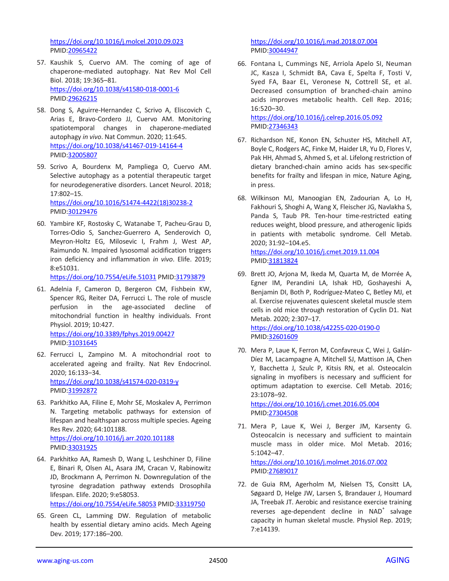<https://doi.org/10.1016/j.molcel.2010.09.023> PMID[:20965422](https://pubmed.ncbi.nlm.nih.gov/20965422)

- 57. Kaushik S, Cuervo AM. The coming of age of chaperone-mediated autophagy. Nat Rev Mol Cell Biol. 2018; 19:365–81. <https://doi.org/10.1038/s41580-018-0001-6> PMID[:29626215](https://pubmed.ncbi.nlm.nih.gov/29626215)
- 58. Dong S, Aguirre-Hernandez C, Scrivo A, Eliscovich C, Arias E, Bravo-Cordero JJ, Cuervo AM. Monitoring spatiotemporal changes in chaperone-mediated autophagy *in vivo*. Nat Commun. 2020; 11:645. <https://doi.org/10.1038/s41467-019-14164-4> PMID[:32005807](https://pubmed.ncbi.nlm.nih.gov/32005807)
- 59. Scrivo A, Bourdenx M, Pampliega O, Cuervo AM. Selective autophagy as a potential therapeutic target for neurodegenerative disorders. Lancet Neurol. 2018; 17:802–15. [https://doi.org/10.1016/S1474-4422\(18\)30238-2](https://doi.org/10.1016/S1474-4422(18)30238-2)

PMID[:30129476](https://pubmed.ncbi.nlm.nih.gov/30129476)

60. Yambire KF, Rostosky C, Watanabe T, Pacheu-Grau D, Torres-Odio S, Sanchez-Guerrero A, Senderovich O, Meyron-Holtz EG, Milosevic I, Frahm J, West AP, Raimundo N. Impaired lysosomal acidification triggers iron deficiency and inflammation *in vivo*. Elife. 2019; 8:e51031.

<https://doi.org/10.7554/eLife.51031> PMID[:31793879](https://pubmed.ncbi.nlm.nih.gov/31793879)

- 61. Adelnia F, Cameron D, Bergeron CM, Fishbein KW, Spencer RG, Reiter DA, Ferrucci L. The role of muscle perfusion in the age-associated decline of mitochondrial function in healthy individuals. Front Physiol. 2019; 10:427. <https://doi.org/10.3389/fphys.2019.00427> PMID[:31031645](https://pubmed.ncbi.nlm.nih.gov/31031645)
- 62. Ferrucci L, Zampino M. A mitochondrial root to accelerated ageing and frailty. Nat Rev Endocrinol. 2020; 16:133–34. <https://doi.org/10.1038/s41574-020-0319-y> PMID[:31992872](https://pubmed.ncbi.nlm.nih.gov/31992872)
- 63. Parkhitko AA, Filine E, Mohr SE, Moskalev A, Perrimon N. Targeting metabolic pathways for extension of lifespan and healthspan across multiple species. Ageing Res Rev. 2020; 64:101188. <https://doi.org/10.1016/j.arr.2020.101188> PMID[:33031925](https://pubmed.ncbi.nlm.nih.gov/33031925)
- 64. Parkhitko AA, Ramesh D, Wang L, Leshchiner D, Filine E, Binari R, Olsen AL, Asara JM, Cracan V, Rabinowitz JD, Brockmann A, Perrimon N. Downregulation of the tyrosine degradation pathway extends Drosophila lifespan. Elife. 2020; 9:e58053. <https://doi.org/10.7554/eLife.58053> PMID[:33319750](file:///C:/Users/OKrasnova/Desktop/IMPACT%20AGING/2020/December/202454/Richardson%20NE,%20Konon%20EN,%20Schuster%20HS,%20Mitchell%20AT,%20Boyle%20C,%20Rodgers%20AC,%20Finke%20M,%20Haider%20LR,%20Yu%20D,%20Flores%20V,%20Pak%20HH,%20Ahmad%20S,%20Ahmed%20S,%20Radcliff%20A,%20Wu%20J,%20Williams%20EM,%20Abdi%20L,%20Sherman%20DS,%20Hacker%20T,%20Lamming%20DW.%20Lifelong%20restriction%20of%20dietary%20branched-chain%20amino%20acids%20has%20sex-specific%20benefits%20for%20frailty%20and%20lifespan%20in%20mice,%20Nature%20Aging,%20in%20press)
- 65. Green CL, Lamming DW. Regulation of metabolic health by essential dietary amino acids. Mech Ageing Dev. 2019; 177:186–200.

<https://doi.org/10.1016/j.mad.2018.07.004> PMI[D:30044947](https://pubmed.ncbi.nlm.nih.gov/30044947)

66. Fontana L, Cummings NE, Arriola Apelo SI, Neuman JC, Kasza I, Schmidt BA, Cava E, Spelta F, Tosti V, Syed FA, Baar EL, Veronese N, Cottrell SE, et al. Decreased consumption of branched-chain amino acids improves metabolic health. Cell Rep. 2016; 16:520–30.

<https://doi.org/10.1016/j.celrep.2016.05.092> PMI[D:27346343](https://pubmed.ncbi.nlm.nih.gov/27346343)

- 67. Richardson NE, Konon EN, Schuster HS, Mitchell AT, Boyle C, Rodgers AC, Finke M, Haider LR, Yu D, Flores V, Pak HH, Ahmad S, Ahmed S, et al. Lifelong restriction of dietary branched-chain amino acids has sex-specific benefits for frailty and lifespan in mice, Nature Aging, in press.
- 68. Wilkinson MJ, Manoogian EN, Zadourian A, Lo H, Fakhouri S, Shoghi A, Wang X, Fleischer JG, Navlakha S, Panda S, Taub PR. Ten-hour time-restricted eating reduces weight, blood pressure, and atherogenic lipids in patients with metabolic syndrome. Cell Metab. 2020; 31:92–104.e5. <https://doi.org/10.1016/j.cmet.2019.11.004>

PMID: 31813824

- 69. Brett JO, Arjona M, Ikeda M, Quarta M, de Morrée A, Egner IM, Perandini LA, Ishak HD, Goshayeshi A, Benjamin DI, Both P, Rodríguez-Mateo C, Betley MJ, et al. Exercise rejuvenates quiescent skeletal muscle stem cells in old mice through restoration of Cyclin D1. Nat Metab. 2020; 2:307–17. <https://doi.org/10.1038/s42255-020-0190-0> PMI[D:32601609](https://pubmed.ncbi.nlm.nih.gov/32601609)
- 70. Mera P, Laue K, Ferron M, Confavreux C, Wei J, Galán-Díez M, Lacampagne A, Mitchell SJ, Mattison JA, Chen Y, Bacchetta J, Szulc P, Kitsis RN, et al. Osteocalcin signaling in myofibers is necessary and sufficient for optimum adaptation to exercise. Cell Metab. 2016; 23:1078–92.

<https://doi.org/10.1016/j.cmet.2016.05.004> PMI[D:27304508](https://pubmed.ncbi.nlm.nih.gov/27304508)

71. Mera P, Laue K, Wei J, Berger JM, Karsenty G. Osteocalcin is necessary and sufficient to maintain muscle mass in older mice. Mol Metab. 2016; 5:1042–47.

<https://doi.org/10.1016/j.molmet.2016.07.002> PMI[D:27689017](https://pubmed.ncbi.nlm.nih.gov/27689017)

72. de Guia RM, Agerholm M, Nielsen TS, Consitt LA, Søgaard D, Helge JW, Larsen S, Brandauer J, Houmard JA, Treebak JT. Aerobic and resistance exercise training reverses age-dependent decline in NAD<sup>+</sup> salvage capacity in human skeletal muscle. Physiol Rep. 2019; 7:e14139.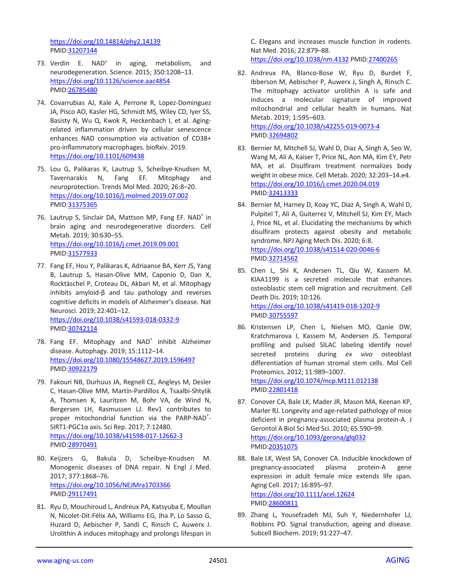<https://doi.org/10.14814/phy2.14139> PMID[:31207144](https://pubmed.ncbi.nlm.nih.gov/31207144)

- 73. Verdin E. NAD<sup>+</sup> in aging, metabolism, and neurodegeneration. Science. 2015; 350:1208–13. <https://doi.org/10.1126/science.aac4854> PMID[:26785480](https://pubmed.ncbi.nlm.nih.gov/26785480)
- 74. Covarrubias AJ, Kale A, Perrone R, Lopez-Dominguez JA, Pisco AO, Kasler HG, Schmidt MS, Wiley CD, Iyer SS, Basisty N, Wu Q, Kwok R, Heckenbach I, et al. Agingrelated inflammation driven by cellular senescence enhances NAD consumption via activation of CD38+ pro-inflammatory macrophages. bioRxiv. 2019. <https://doi.org/10.1101/609438>
- 75. Lou G, Palikaras K, Lautrup S, Scheibye-Knudsen M, Tavernarakis N, Fang EF. Mitophagy and neuroprotection. Trends Mol Med. 2020; 26:8–20. <https://doi.org/10.1016/j.molmed.2019.07.002> PMID[:31375365](https://pubmed.ncbi.nlm.nih.gov/31375365)
- 76. Lautrup S, Sinclair DA, Mattson MP, Fang EF. NAD<sup>+</sup> in brain aging and neurodegenerative disorders. Cell Metab. 2019; 30:630–55. <https://doi.org/10.1016/j.cmet.2019.09.001> PMID[:31577933](https://pubmed.ncbi.nlm.nih.gov/31577933)
- 77. Fang EF, Hou Y, Palikaras K, Adriaanse BA, Kerr JS, Yang B, Lautrup S, Hasan-Olive MM, Caponio D, Dan X, Rocktäschel P, Croteau DL, Akbari M, et al. Mitophagy inhibits amyloid-β and tau pathology and reverses cognitive deficits in models of Alzheimer's disease. Nat Neurosci. 2019; 22:401–12. <https://doi.org/10.1038/s41593-018-0332-9> PMID[:30742114](https://pubmed.ncbi.nlm.nih.gov/30742114)
- 78. Fang EF. Mitophagy and NAD<sup>+</sup> inhibit Alzheimer disease. Autophagy. 2019; 15:1112–14. <https://doi.org/10.1080/15548627.2019.1596497> PMID[:30922179](https://pubmed.ncbi.nlm.nih.gov/30922179)
- 79. Fakouri NB, Durhuus JA, Regnell CE, Angleys M, Desler C, Hasan-Olive MM, Martín-Pardillos A, Tsaalbi-Shtylik A, Thomsen K, Lauritzen M, Bohr VA, de Wind N, Bergersen LH, Rasmussen LJ. Rev1 contributes to proper mitochondrial function via the PARP-NAD<sup>+</sup>-SIRT1-PGC1α axis. Sci Rep. 2017; 7:12480. <https://doi.org/10.1038/s41598-017-12662-3> PMID[:28970491](https://pubmed.ncbi.nlm.nih.gov/28970491)
- 80. Keijzers G, Bakula D, Scheibye-Knudsen M. Monogenic diseases of DNA repair. N Engl J Med. 2017; 377:1868–76. <https://doi.org/10.1056/NEJMra1703366> PMID[:29117491](https://pubmed.ncbi.nlm.nih.gov/29117491)
- 81. Ryu D, Mouchiroud L, Andreux PA, Katsyuba E, Moullan N, Nicolet-Dit-Félix AA, Williams EG, Jha P, Lo Sasso G, Huzard D, Aebischer P, Sandi C, Rinsch C, Auwerx J. Urolithin A induces mitophagy and prolongs lifespan in

C. Elegans and increases muscle function in rodents. Nat Med. 2016; 22:879–88. <https://doi.org/10.1038/nm.4132> PMI[D:27400265](https://pubmed.ncbi.nlm.nih.gov/27400265)

- 82. Andreux PA, Blanco-Bose W, Ryu D, Burdet F, Ibberson M, Aebischer P, Auwerx J, Singh A, Rinsch C. The mitophagy activator urolithin A is safe and induces a molecular signature of improved mitochondrial and cellular health in humans. Nat Metab. 2019; 1:595–603. <https://doi.org/10.1038/s42255-019-0073-4> PMI[D:32694802](https://pubmed.ncbi.nlm.nih.gov/32694802)
- 83. Bernier M, Mitchell SJ, Wahl D, Diaz A, Singh A, Seo W, Wang M, Ali A, Kaiser T, Price NL, Aon MA, Kim EY, Petr MA, et al. Disulfiram treatment normalizes body weight in obese mice. Cell Metab. 2020; 32:203–14.e4. <https://doi.org/10.1016/j.cmet.2020.04.019> PMI[D:32413333](https://pubmed.ncbi.nlm.nih.gov/32413333)
- 84. Bernier M, Harney D, Koay YC, Diaz A, Singh A, Wahl D, Pulpitel T, Ali A, Guiterrez V, Mitchell SJ, Kim EY, Mach J, Price NL, et al. Elucidating the mechanisms by which disulfiram protects against obesity and metabolic syndrome. NPJ Aging Mech Dis. 2020; 6:8. <https://doi.org/10.1038/s41514-020-0046-6> PMI[D:32714562](https://pubmed.ncbi.nlm.nih.gov/32714562)
- 85. Chen L, Shi K, Andersen TL, Qiu W, Kassem M. KIAA1199 is a secreted molecule that enhances osteoblastic stem cell migration and recruitment. Cell Death Dis. 2019; 10:126. <https://doi.org/10.1038/s41419-018-1202-9> PMI[D:30755597](https://pubmed.ncbi.nlm.nih.gov/30755597)
- 86. Kristensen LP, Chen L, Nielsen MO, Qanie DW, Kratchmarova I, Kassem M, Andersen JS. Temporal profiling and pulsed SILAC labeling identify novel secreted proteins during *ex vivo* osteoblast differentiation of human stromal stem cells. Mol Cell Proteomics. 2012; 11:989–1007.

<https://doi.org/10.1074/mcp.M111.012138> PMI[D:22801418](https://pubmed.ncbi.nlm.nih.gov/22801418)

- 87. Conover CA, Bale LK, Mader JR, Mason MA, Keenan KP, Marler RJ. Longevity and age-related pathology of mice deficient in pregnancy-associated plasma protein-A. J Gerontol A Biol Sci Med Sci. 2010; 65:590–99. <https://doi.org/10.1093/gerona/glq032> PMI[D:20351075](https://pubmed.ncbi.nlm.nih.gov/20351075)
- 88. Bale LK, West SA, Conover CA. Inducible knockdown of pregnancy-associated plasma protein-A gene expression in adult female mice extends life span. Aging Cell. 2017; 16:895–97. <https://doi.org/10.1111/acel.12624> PMI[D:28600811](https://pubmed.ncbi.nlm.nih.gov/28600811)
- 89. Zhang L, Yousefzadeh MJ, Suh Y, Niedernhofer LJ, Robbins PD. Signal transduction, ageing and disease. Subcell Biochem. 2019; 91:227–47.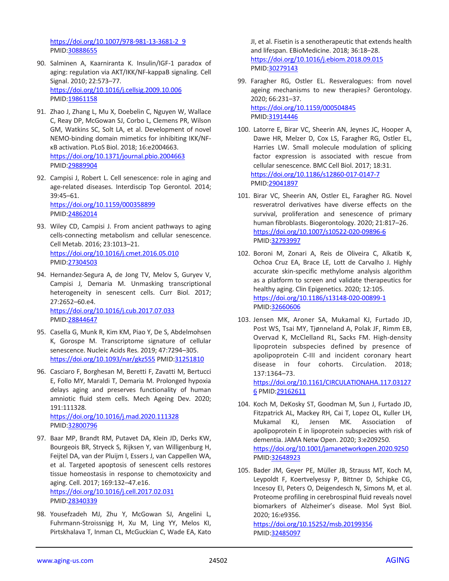[https://doi.org/10.1007/978-981-13-3681-2\\_9](https://doi.org/10.1007/978-981-13-3681-2_9) PMID[:30888655](https://pubmed.ncbi.nlm.nih.gov/30888655)

- 90. Salminen A, Kaarniranta K. Insulin/IGF-1 paradox of aging: regulation via AKT/IKK/NF-kappaB signaling. Cell Signal. 2010; 22:573–77. <https://doi.org/10.1016/j.cellsig.2009.10.006> PMID[:19861158](https://pubmed.ncbi.nlm.nih.gov/19861158)
- 91. Zhao J, Zhang L, Mu X, Doebelin C, Nguyen W, Wallace C, Reay DP, McGowan SJ, Corbo L, Clemens PR, Wilson GM, Watkins SC, Solt LA, et al. Development of novel NEMO-binding domain mimetics for inhibiting IKK/NFκB activation. PLoS Biol. 2018; 16:e2004663. <https://doi.org/10.1371/journal.pbio.2004663> PMID[:29889904](https://pubmed.ncbi.nlm.nih.gov/29889904)
- 92. Campisi J, Robert L. Cell senescence: role in aging and age-related diseases. Interdiscip Top Gerontol. 2014; 39:45–61. <https://doi.org/10.1159/000358899> PMID[:24862014](https://pubmed.ncbi.nlm.nih.gov/24862014)
- 93. Wiley CD, Campisi J. From ancient pathways to aging cells-connecting metabolism and cellular senescence. Cell Metab. 2016; 23:1013–21. <https://doi.org/10.1016/j.cmet.2016.05.010> PMID[:27304503](https://pubmed.ncbi.nlm.nih.gov/27304503)
- 94. Hernandez-Segura A, de Jong TV, Melov S, Guryev V, Campisi J, Demaria M. Unmasking transcriptional heterogeneity in senescent cells. Curr Biol. 2017; 27:2652–60.e4. <https://doi.org/10.1016/j.cub.2017.07.033> PMID[:28844647](https://pubmed.ncbi.nlm.nih.gov/28844647)
- 95. Casella G, Munk R, Kim KM, Piao Y, De S, Abdelmohsen K, Gorospe M. Transcriptome signature of cellular senescence. Nucleic Acids Res. 2019; 47:7294–305. <https://doi.org/10.1093/nar/gkz555> PMI[D:31251810](https://pubmed.ncbi.nlm.nih.gov/31251810)
- 96. Casciaro F, Borghesan M, Beretti F, Zavatti M, Bertucci E, Follo MY, Maraldi T, Demaria M. Prolonged hypoxia delays aging and preserves functionality of human amniotic fluid stem cells. Mech Ageing Dev. 2020; 191:111328. <https://doi.org/10.1016/j.mad.2020.111328>

PMID[:32800796](https://pubmed.ncbi.nlm.nih.gov/32800796)

- 97. Baar MP, Brandt RM, Putavet DA, Klein JD, Derks KW, Bourgeois BR, Stryeck S, Rijksen Y, van Willigenburg H, Feijtel DA, van der Pluijm I, Essers J, van Cappellen WA, et al. Targeted apoptosis of senescent cells restores tissue homeostasis in response to chemotoxicity and aging. Cell. 2017; 169:132–47.e16. <https://doi.org/10.1016/j.cell.2017.02.031> PMID[:28340339](https://pubmed.ncbi.nlm.nih.gov/28340339)
- 98. Yousefzadeh MJ, Zhu Y, McGowan SJ, Angelini L, Fuhrmann-Stroissnigg H, Xu M, Ling YY, Melos KI, Pirtskhalava T, Inman CL, McGuckian C, Wade EA, Kato

JI, et al. Fisetin is a senotherapeutic that extends health and lifespan. EBioMedicine. 2018; 36:18–28. <https://doi.org/10.1016/j.ebiom.2018.09.015> PMI[D:30279143](https://pubmed.ncbi.nlm.nih.gov/30279143)

- 99. Faragher RG, Ostler EL. Resveralogues: from novel ageing mechanisms to new therapies? Gerontology. 2020; 66:231–37. <https://doi.org/10.1159/000504845> PMI[D:31914446](https://pubmed.ncbi.nlm.nih.gov/31914446)
- 100. Latorre E, Birar VC, Sheerin AN, Jeynes JC, Hooper A, Dawe HR, Melzer D, Cox LS, Faragher RG, Ostler EL, Harries LW. Small molecule modulation of splicing factor expression is associated with rescue from cellular senescence. BMC Cell Biol. 2017; 18:31. <https://doi.org/10.1186/s12860-017-0147-7> PMI[D:29041897](https://pubmed.ncbi.nlm.nih.gov/29041897)
- 101. Birar VC, Sheerin AN, Ostler EL, Faragher RG. Novel resveratrol derivatives have diverse effects on the survival, proliferation and senescence of primary human fibroblasts. Biogerontology. 2020; 21:817–26. <https://doi.org/10.1007/s10522-020-09896-6> PMID[:32793997](https://pubmed.ncbi.nlm.nih.gov/32793997)
- 102. Boroni M, Zonari A, Reis de Oliveira C, Alkatib K, Ochoa Cruz EA, Brace LE, Lott de Carvalho J. Highly accurate skin-specific methylome analysis algorithm as a platform to screen and validate therapeutics for healthy aging. Clin Epigenetics. 2020; 12:105. <https://doi.org/10.1186/s13148-020-00899-1> PMID[:32660606](https://pubmed.ncbi.nlm.nih.gov/32660606)
- 103. Jensen MK, Aroner SA, Mukamal KJ, Furtado JD, Post WS, Tsai MY, Tjønneland A, Polak JF, Rimm EB, Overvad K, McClelland RL, Sacks FM. High-density lipoprotein subspecies defined by presence of apolipoprotein C-III and incident coronary heart disease in four cohorts. Circulation. 2018; 137:1364–73. [https://doi.org/10.1161/CIRCULATIONAHA.117.03127](https://doi.org/10.1161/CIRCULATIONAHA.117.031276)

[6](https://doi.org/10.1161/CIRCULATIONAHA.117.031276) PMID[:29162611](https://pubmed.ncbi.nlm.nih.gov/29162611) 104. Koch M, DeKosky ST, Goodman M, Sun J, Furtado JD, Fitzpatrick AL, Mackey RH, Cai T, Lopez OL, Kuller LH, Mukamal KJ, Jensen MK. Association of apolipoprotein E in lipoprotein subspecies with risk of dementia. JAMA Netw Open. 2020; 3:e209250.

<https://doi.org/10.1001/jamanetworkopen.2020.9250> PMID[:32648923](https://pubmed.ncbi.nlm.nih.gov/32648923)

105. Bader JM, Geyer PE, Müller JB, Strauss MT, Koch M, Leypoldt F, Koertvelyessy P, Bittner D, Schipke CG, Incesoy EI, Peters O, Deigendesch N, Simons M, et al. Proteome profiling in cerebrospinal fluid reveals novel biomarkers of Alzheimer's disease. Mol Syst Biol. 2020; 16:e9356.

<https://doi.org/10.15252/msb.20199356> PMID[:32485097](https://pubmed.ncbi.nlm.nih.gov/32485097)